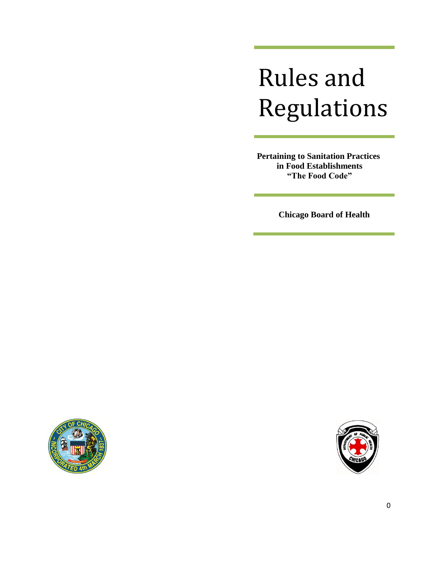# Rules and Regulations

**Pertaining to Sanitation Practices in Food Establishments "The Food Code"**

**Chicago Board of Health**



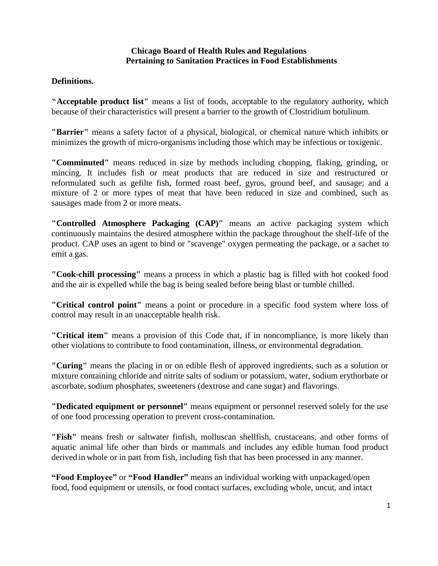#### **Chicago Board of Health Rules and Regulations Pertaining to Sanitation Practices in Food Establishments**

#### **Definitions.**

**"Acceptable product list"** means a list of foods, acceptable to the regulatory authority, which because of their characteristics will present a barrier to the growth of Clostridium botulinum.

**"Barrier"** means a safety factor of a physical, biological, or chemical nature which inhibits or minimizes the growth of micro-organisms including those which may be infectious or toxigenic.

**"Comminuted"** means reduced in size by methods including chopping, flaking, grinding, or mincing. It includes fish or meat products that are reduced in size and restructured or reformulated such as gefilte fish, formed roast beef, gyros, ground beef, and sausage; and a mixture of 2 or more types of meat that have been reduced in size and combined, such as sausages made from 2 or more meats.

**"Controlled Atmosphere Packaging (CAP)"** means an active packaging system which continuously maintains the desired atmosphere within the package throughout the shelf-life of the product. CAP uses an agent to bind or "scavenge" oxygen permeating the package, or a sachet to emit a gas.

**"Cook-chill processing"** means a process in which a plastic bag is filled with hot cooked food and the air is expelled while the bag is being sealed before being blast or tumble chilled.

**"Critical control point"** means a point or procedure in a specific food system where loss of control may result in an unacceptable health risk.

**"Critical item"** means a provision of this Code that, if in noncompliance, is more likely than other violations to contribute to food contamination, illness, or environmental degradation.

**"Curing"** means the placing in or on edible flesh of approved ingredients, such as a solution or mixture containing chloride and nitrite salts of sodium or potassium, water, sodium erythorbate or ascorbate, sodium phosphates, sweeteners (dextrose and cane sugar) and flavorings.

**"Dedicated equipment or personnel"** means equipment or personnel reserved solely for the use of one food processing operation to prevent cross-contamination.

**"Fish"** means fresh or saltwater finfish, molluscan shellfish, crustaceans, and other forms of aquatic animal life other than birds or mammals and includes any edible human food product derived in whole or in part from fish, including fish that has been processed in any manner.

**"Food Employee"** or **"Food Handler"** means an individual working with unpackaged/open food, food equipment or utensils, or food contact surfaces, excluding whole, uncut, and intact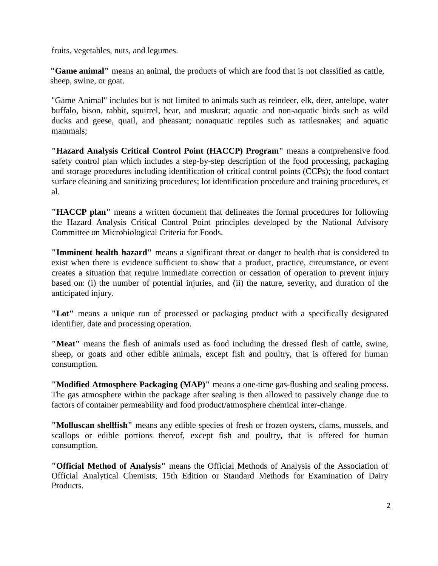fruits, vegetables, nuts, and legumes.

**"Game animal"** means an animal, the products of which are food that is not classified as cattle, sheep, swine, or goat.

"Game Animal" includes but is not limited to animals such as reindeer, elk, deer, antelope, water buffalo, bison, rabbit, squirrel, bear, and muskrat; aquatic and non-aquatic birds such as wild ducks and geese, quail, and pheasant; nonaquatic reptiles such as rattlesnakes; and aquatic mammals;

**"Hazard Analysis Critical Control Point (HACCP) Program"** means a comprehensive food safety control plan which includes a step-by-step description of the food processing, packaging and storage procedures including identification of critical control points (CCPs); the food contact surface cleaning and sanitizing procedures; lot identification procedure and training procedures, et al.

**"HACCP plan"** means a written document that delineates the formal procedures for following the Hazard Analysis Critical Control Point principles developed by the National Advisory Committee on Microbiological Criteria for Foods.

**"Imminent health hazard"** means a significant threat or danger to health that is considered to exist when there is evidence sufficient to show that a product, practice, circumstance, or event creates a situation that require immediate correction or cessation of operation to prevent injury based on: (i) the number of potential injuries, and (ii) the nature, severity, and duration of the anticipated injury.

**"Lot"** means a unique run of processed or packaging product with a specifically designated identifier, date and processing operation.

**"Meat"** means the flesh of animals used as food including the dressed flesh of cattle, swine, sheep, or goats and other edible animals, except fish and poultry, that is offered for human consumption.

**"Modified Atmosphere Packaging (MAP)"** means a one-time gas-flushing and sealing process. The gas atmosphere within the package after sealing is then allowed to passively change due to factors of container permeability and food product/atmosphere chemical inter-change.

**"Molluscan shellfish"** means any edible species of fresh or frozen oysters, clams, mussels, and scallops or edible portions thereof, except fish and poultry, that is offered for human consumption.

**"Official Method of Analysis"** means the Official Methods of Analysis of the Association of Official Analytical Chemists, 15th Edition or Standard Methods for Examination of Dairy Products.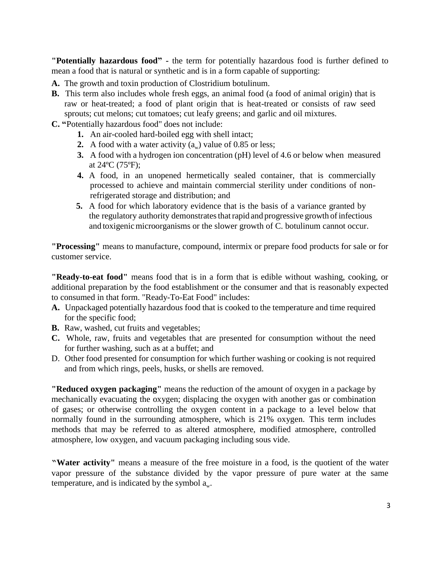**"Potentially hazardous food" -** the term for potentially hazardous food is further defined to mean a food that is natural or synthetic and is in a form capable of supporting:

- **A.** The growth and toxin production of Clostridium botulinum.
- **B.** This term also includes whole fresh eggs, an animal food (a food of animal origin) that is raw or heat-treated; a food of plant origin that is heat-treated or consists of raw seed sprouts; cut melons; cut tomatoes; cut leafy greens; and garlic and oil mixtures.

**C. "**Potentially hazardous food" does not include:

- **1.** An air-cooled hard-boiled egg with shell intact;
- **2.** A food with a water activity  $(a_w)$  value of 0.85 or less;
- **3.** A food with a hydrogen ion concentration (pH) level of 4.6 or below when measured at 24ºC (75ºF);
- **4.** A food, in an unopened hermetically sealed container, that is commercially processed to achieve and maintain commercial sterility under conditions of nonrefrigerated storage and distribution; and
- **5.** A food for which laboratory evidence that is the basis of a variance granted by the regulatory authority demonstrates that rapid and progressive growth of infectious and toxigenic microorganisms or the slower growth of C. botulinum cannot occur.

**"Processing"** means to manufacture, compound, intermix or prepare food products for sale or for customer service.

**"Ready-to-eat food"** means food that is in a form that is edible without washing, cooking, or additional preparation by the food establishment or the consumer and that is reasonably expected to consumed in that form. "Ready-To-Eat Food" includes:

- **A.** Unpackaged potentially hazardous food that is cooked to the temperature and time required for the specific food;
- **B.** Raw, washed, cut fruits and vegetables;
- **C.** Whole, raw, fruits and vegetables that are presented for consumption without the need for further washing, such as at a buffet; and
- D. Other food presented for consumption for which further washing or cooking is not required and from which rings, peels, husks, or shells are removed.

**"Reduced oxygen packaging"** means the reduction of the amount of oxygen in a package by mechanically evacuating the oxygen; displacing the oxygen with another gas or combination of gases; or otherwise controlling the oxygen content in a package to a level below that normally found in the surrounding atmosphere, which is 21% oxygen. This term includes methods that may be referred to as altered atmosphere, modified atmosphere, controlled atmosphere, low oxygen, and vacuum packaging including sous vide.

**"Water activity"** means a measure of the free moisture in a food, is the quotient of the water vapor pressure of the substance divided by the vapor pressure of pure water at the same temperature, and is indicated by the symbol  $a_w$ .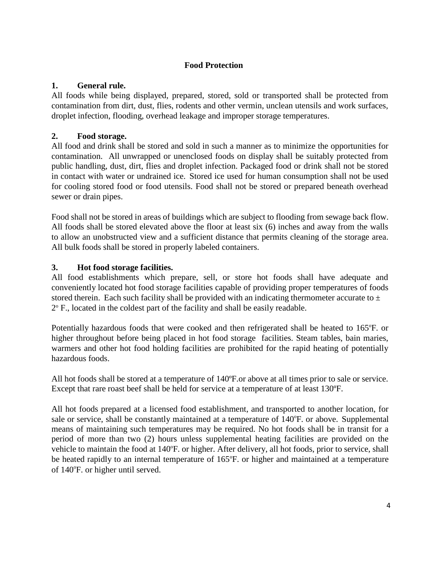# **Food Protection**

#### **1. General rule.**

All foods while being displayed, prepared, stored, sold or transported shall be protected from contamination from dirt, dust, flies, rodents and other vermin, unclean utensils and work surfaces, droplet infection, flooding, overhead leakage and improper storage temperatures.

#### **2. Food storage.**

All food and drink shall be stored and sold in such a manner as to minimize the opportunities for contamination. All unwrapped or unenclosed foods on display shall be suitably protected from public handling, dust, dirt, flies and droplet infection. Packaged food or drink shall not be stored in contact with water or undrained ice. Stored ice used for human consumption shall not be used for cooling stored food or food utensils. Food shall not be stored or prepared beneath overhead sewer or drain pipes.

Food shall not be stored in areas of buildings which are subject to flooding from sewage back flow. All foods shall be stored elevated above the floor at least six (6) inches and away from the walls to allow an unobstructed view and a sufficient distance that permits cleaning of the storage area. All bulk foods shall be stored in properly labeled containers.

#### **3. Hot food storage facilities.**

All food establishments which prepare, sell, or store hot foods shall have adequate and conveniently located hot food storage facilities capable of providing proper temperatures of foods stored therein. Each such facility shall be provided with an indicating thermometer accurate to  $\pm$ 2° F., located in the coldest part of the facility and shall be easily readable.

Potentially hazardous foods that were cooked and then refrigerated shall be heated to 165°F. or higher throughout before being placed in hot food storage facilities. Steam tables, bain maries, warmers and other hot food holding facilities are prohibited for the rapid heating of potentially hazardous foods.

All hot foods shall be stored at a temperature of 140ºF.or above at all times prior to sale or service. Except that rare roast beef shall be held for service at a temperature of at least 130ºF.

All hot foods prepared at a licensed food establishment, and transported to another location, for sale or service, shall be constantly maintained at a temperature of 140°F. or above. Supplemental means of maintaining such temperatures may be required. No hot foods shall be in transit for a period of more than two (2) hours unless supplemental heating facilities are provided on the vehicle to maintain the food at 140°F. or higher. After delivery, all hot foods, prior to service, shall be heated rapidly to an internal temperature of 165°F. or higher and maintained at a temperature of 140°F. or higher until served.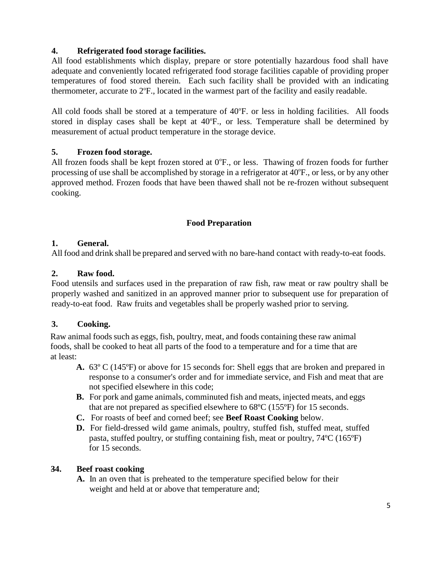# **4. Refrigerated food storage facilities.**

All food establishments which display, prepare or store potentially hazardous food shall have adequate and conveniently located refrigerated food storage facilities capable of providing proper temperatures of food stored therein. Each such facility shall be provided with an indicating thermometer, accurate to  $2^{\circ}$ F., located in the warmest part of the facility and easily readable.

All cold foods shall be stored at a temperature of 40°F. or less in holding facilities. All foods stored in display cases shall be kept at 40°F., or less. Temperature shall be determined by measurement of actual product temperature in the storage device.

# **5. Frozen food storage.**

All frozen foods shall be kept frozen stored at  $0^{\circ}$ F., or less. Thawing of frozen foods for further processing of use shall be accomplished by storage in a refrigerator at 40°F., or less, or by any other approved method. Frozen foods that have been thawed shall not be re-frozen without subsequent cooking.

# **Food Preparation**

#### **1. General.**

All food and drink shall be prepared and served with no bare-hand contact with ready-to-eat foods.

#### **2. Raw food.**

Food utensils and surfaces used in the preparation of raw fish, raw meat or raw poultry shall be properly washed and sanitized in an approved manner prior to subsequent use for preparation of ready-to-eat food. Raw fruits and vegetables shall be properly washed prior to serving.

#### **3. Cooking.**

Raw animal foods such as eggs, fish, poultry, meat, and foods containing these raw animal foods, shall be cooked to heat all parts of the food to a temperature and for a time that are at least:

- **A.** 63º C (145ºF) or above for 15 seconds for: Shell eggs that are broken and prepared in response to a consumer's order and for immediate service, and Fish and meat that are not specified elsewhere in this code;
- **B.** For pork and game animals, comminuted fish and meats, injected meats, and eggs that are not prepared as specified elsewhere to 68ºC (155ºF) for 15 seconds.
- **C.** For roasts of beef and corned beef; see **Beef Roast Cooking** below.
- **D.** For field-dressed wild game animals, poultry, stuffed fish, stuffed meat, stuffed pasta, stuffed poultry, or stuffing containing fish, meat or poultry, 74ºC (165ºF) for 15 seconds.

#### **34. Beef roast cooking**

**A.** In an oven that is preheated to the temperature specified below for their weight and held at or above that temperature and;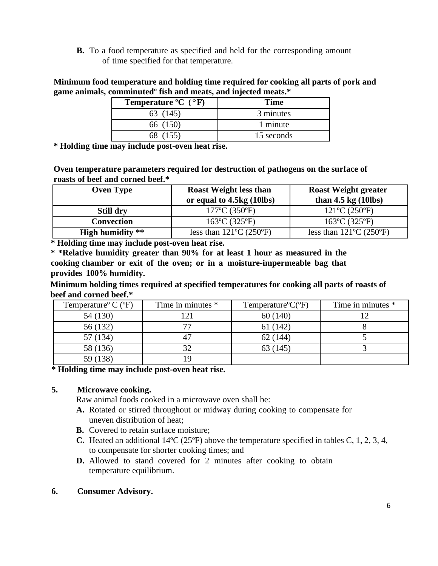**B.** To a food temperature as specified and held for the corresponding amount of time specified for that temperature.

**Minimum food temperature and holding time required for cooking all parts of pork and game animals, comminutedº fish and meats, and injected meats.\***

| Temperature ${}^{\circ}C$ ( ${}^{\circ}F$ ) | <b>Time</b> |
|---------------------------------------------|-------------|
| 63 (145)                                    | 3 minutes   |
| 66 (150)                                    | 1 minute    |
| 68 (155)                                    | 15 seconds  |

**\* Holding time may include post-oven heat rise.**

**Oven temperature parameters required for destruction of pathogens on the surface of roasts of beef and corned beef.\***

| <b>Oven Type</b>        | <b>Roast Weight less than</b><br>or equal to 4.5kg (10lbs) | <b>Roast Weight greater</b><br>than $4.5 \text{ kg}$ (10lbs) |  |  |
|-------------------------|------------------------------------------------------------|--------------------------------------------------------------|--|--|
| <b>Still dry</b>        | 177°C (350°F)                                              | $121^{\circ}C(250^{\circ}F)$                                 |  |  |
| <b>Convection</b>       | $163^{\circ}C(325^{\circ}F)$                               | $163^{\circ}C(325^{\circ}F)$                                 |  |  |
| <b>High humidity</b> ** | less than $121^{\circ}C(250^{\circ}F)$                     | less than $121^{\circ}$ C (250 $^{\circ}$ F)                 |  |  |

**\* Holding time may include post-oven heat rise.**

**\* \*Relative humidity greater than 90% for at least 1 hour as measured in the cooking chamber or exit of the oven; or in a moisture-impermeable bag that provides 100% humidity.**

**Minimum holding times required at specified temperatures for cooking all parts of roasts of beef and corned beef.\***

| Temperature <sup>o</sup> C ( $\rm{^oF}$ ) | Time in minutes * | Temperature ${}^{\circ}C({}^{\circ}F)$ | Time in minutes * |
|-------------------------------------------|-------------------|----------------------------------------|-------------------|
| 54 (130)                                  | 21                | 60(140)                                |                   |
| 56 (132)                                  | 77                | 61(142)                                |                   |
| 57 (134)                                  | 47                | 62(144)                                |                   |
| 58 (136)                                  | 32                | 63 (145)                               |                   |
|                                           | ١ç                |                                        |                   |

**\* Holding time may include post-oven heat rise.**

#### **5. Microwave cooking.**

Raw animal foods cooked in a microwave oven shall be:

- **A.** Rotated or stirred throughout or midway during cooking to compensate for uneven distribution of heat;
- **B.** Covered to retain surface moisture;
- **C.** Heated an additional 14ºC (25ºF) above the temperature specified in tables C, 1, 2, 3, 4, to compensate for shorter cooking times; and
- **D.** Allowed to stand covered for 2 minutes after cooking to obtain temperature equilibrium.

#### **6. Consumer Advisory.**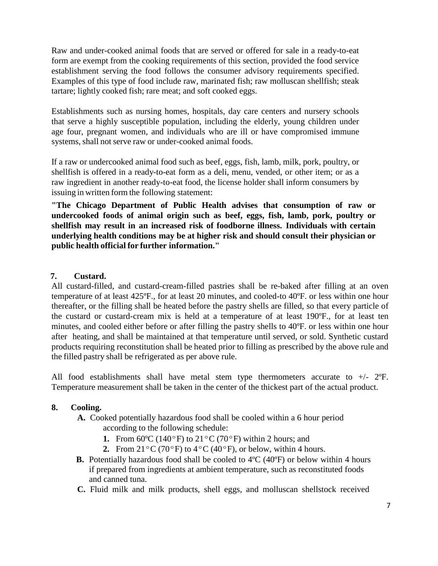Raw and under-cooked animal foods that are served or offered for sale in a ready-to-eat form are exempt from the cooking requirements of this section, provided the food service establishment serving the food follows the consumer advisory requirements specified. Examples of this type of food include raw, marinated fish; raw molluscan shellfish; steak tartare; lightly cooked fish; rare meat; and soft cooked eggs.

Establishments such as nursing homes, hospitals, day care centers and nursery schools that serve a highly susceptible population, including the elderly, young children under age four, pregnant women, and individuals who are ill or have compromised immune systems, shall not serve raw or under-cooked animal foods.

If a raw or undercooked animal food such as beef, eggs, fish, lamb, milk, pork, poultry, or shellfish is offered in a ready-to-eat form as a deli, menu, vended, or other item; or as a raw ingredient in another ready-to-eat food, the license holder shall inform consumers by issuing in written form the following statement:

**"The Chicago Department of Public Health advises that consumption of raw or undercooked foods of animal origin such as beef, eggs, fish, lamb, pork, poultry or shellfish may result in an increased risk of foodborne illness. Individuals with certain underlying health conditions may be at higher risk and should consult their physician or public health official for further information."**

#### **7. Custard.**

All custard-filled, and custard-cream-filled pastries shall be re-baked after filling at an oven temperature of at least 425ºF., for at least 20 minutes, and cooled-to 40ºF. or less within one hour thereafter, or the filling shall be heated before the pastry shells are filled, so that every particle of the custard or custard-cream mix is held at a temperature of at least 190ºF., for at least ten minutes, and cooled either before or after filling the pastry shells to 40ºF. or less within one hour after heating, and shall be maintained at that temperature until served, or sold. Synthetic custard products requiring reconstitution shall be heated prior to filling as prescribed by the above rule and the filled pastry shall be refrigerated as per above rule.

All food establishments shall have metal stem type thermometers accurate to +/- 2ºF. Temperature measurement shall be taken in the center of the thickest part of the actual product.

#### **8. Cooling.**

- **A.** Cooked potentially hazardous food shall be cooled within a 6 hour period according to the following schedule:
	- **1.** From 60°C (140°F) to 21°C (70°F) within 2 hours; and
	- **2.** From  $21^{\circ}$ C (70°F) to  $4^{\circ}$ C (40°F), or below, within 4 hours.
- **B.** Potentially hazardous food shall be cooled to 4<sup>o</sup>C (40<sup>o</sup>F) or below within 4 hours if prepared from ingredients at ambient temperature, such as reconstituted foods and canned tuna.
- **C.** Fluid milk and milk products, shell eggs, and molluscan shellstock received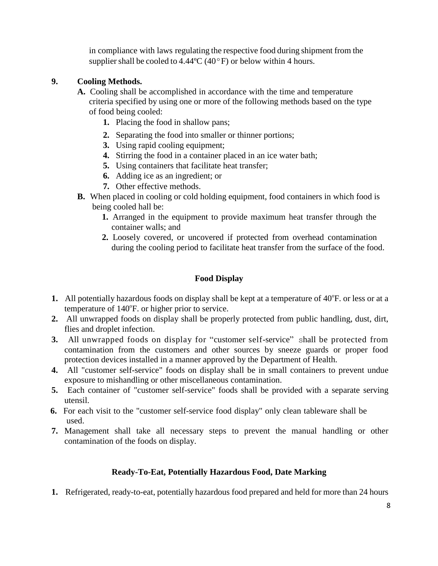in compliance with laws regulating the respective food during shipment from the supplier shall be cooled to  $4.44^{\circ}C$  (40 $^{\circ}F$ ) or below within 4 hours.

# **9. Cooling Methods.**

- **A.** Cooling shall be accomplished in accordance with the time and temperature criteria specified by using one or more of the following methods based on the type of food being cooled:
	- **1.** Placing the food in shallow pans;
	- **2.** Separating the food into smaller or thinner portions;
	- **3.** Using rapid cooling equipment;
	- **4.** Stirring the food in a container placed in an ice water bath;
	- **5.** Using containers that facilitate heat transfer;
	- **6.** Adding ice as an ingredient; or
	- **7.** Other effective methods.
- **B.** When placed in cooling or cold holding equipment, food containers in which food is being cooled hall be:
	- **1.** Arranged in the equipment to provide maximum heat transfer through the container walls; and
	- **2.** Loosely covered, or uncovered if protected from overhead contamination during the cooling period to facilitate heat transfer from the surface of the food.

# **Food Display**

- 1. All potentially hazardous foods on display shall be kept at a temperature of 40°F. or less or at a temperature of 140°F. or higher prior to service.
- **2.** All unwrapped foods on display shall be properly protected from public handling, dust, dirt, flies and droplet infection.
- **3.** All unwrapped foods on display for "customer self-service" shall be protected from contamination from the customers and other sources by sneeze guards or proper food protection devices installed in a manner approved by the Department of Health.
- **4.** All "customer self-service" foods on display shall be in small containers to prevent undue exposure to mishandling or other miscellaneous contamination.
- **5.** Each container of "customer self-service" foods shall be provided with a separate serving utensil.
- **6.** For each visit to the "customer self-service food display" only clean tableware shall be used.
- **7.** Management shall take all necessary steps to prevent the manual handling or other contamination of the foods on display.

#### **Ready-To-Eat, Potentially Hazardous Food, Date Marking**

**1.** Refrigerated, ready-to-eat, potentially hazardous food prepared and held for more than 24 hours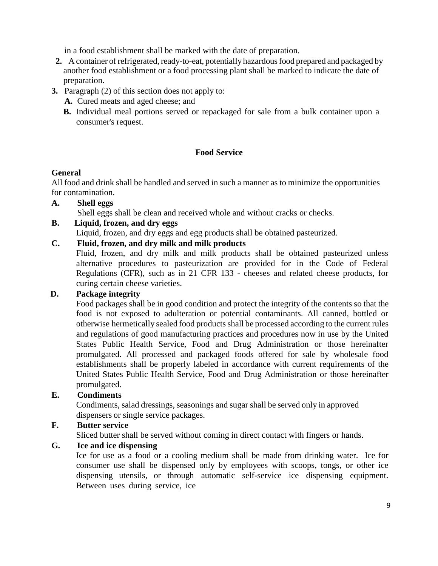in a food establishment shall be marked with the date of preparation.

- **2.** A container of refrigerated, ready-to-eat, potentially hazardous food prepared and packaged by another food establishment or a food processing plant shall be marked to indicate the date of preparation.
- **3.** Paragraph (2) of this section does not apply to:
	- **A.** Cured meats and aged cheese; and
	- **B.** Individual meal portions served or repackaged for sale from a bulk container upon a consumer's request.

# **Food Service**

# **General**

All food and drink shall be handled and served in such a manner as to minimize the opportunities for contamination.

#### **A. Shell eggs**

Shell eggs shall be clean and received whole and without cracks or checks.

**B. Liquid, frozen, and dry eggs**

Liquid, frozen, and dry eggs and egg products shall be obtained pasteurized.

# **C. Fluid, frozen, and dry milk and milk products**

Fluid, frozen, and dry milk and milk products shall be obtained pasteurized unless alternative procedures to pasteurization are provided for in the Code of Federal Regulations (CFR), such as in 21 CFR 133 - cheeses and related cheese products, for curing certain cheese varieties.

#### **D. Package integrity**

Food packages shall be in good condition and protect the integrity of the contents so that the food is not exposed to adulteration or potential contaminants. All canned, bottled or otherwise hermetically sealed food products shall be processed according to the current rules and regulations of good manufacturing practices and procedures now in use by the United States Public Health Service, Food and Drug Administration or those hereinafter promulgated. All processed and packaged foods offered for sale by wholesale food establishments shall be properly labeled in accordance with current requirements of the United States Public Health Service, Food and Drug Administration or those hereinafter promulgated.

# **E. Condiments**

Condiments, salad dressings, seasonings and sugar shall be served only in approved dispensers or single service packages.

# **F. Butter service**

Sliced butter shall be served without coming in direct contact with fingers or hands.

# **G. Ice and ice dispensing**

Ice for use as a food or a cooling medium shall be made from drinking water. Ice for consumer use shall be dispensed only by employees with scoops, tongs, or other ice dispensing utensils, or through automatic self-service ice dispensing equipment. Between uses during service, ice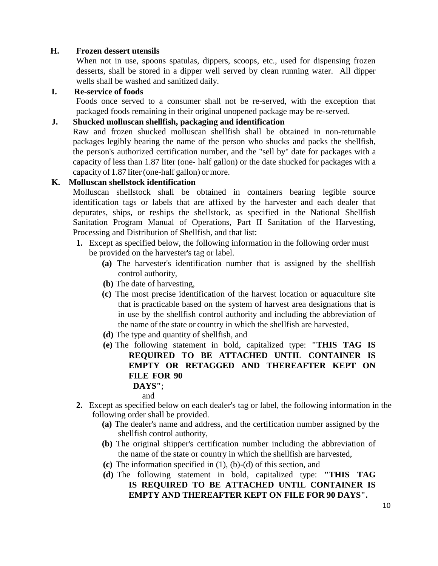#### **H. Frozen dessert utensils**

When not in use, spoons spatulas, dippers, scoops, etc., used for dispensing frozen desserts, shall be stored in a dipper well served by clean running water. All dipper wells shall be washed and sanitized daily.

#### **I. Re-service of foods**

Foods once served to a consumer shall not be re-served, with the exception that packaged foods remaining in their original unopened package may be re-served.

#### **J. Shucked molluscan shellfish, packaging and identification**

Raw and frozen shucked molluscan shellfish shall be obtained in non-returnable packages legibly bearing the name of the person who shucks and packs the shellfish, the person's authorized certification number, and the "sell by" date for packages with a capacity of less than 1.87 liter (one- half gallon) or the date shucked for packages with a capacity of 1.87 liter (one-half gallon) or more.

#### **K. Molluscan shellstock identification**

Molluscan shellstock shall be obtained in containers bearing legible source identification tags or labels that are affixed by the harvester and each dealer that depurates, ships, or reships the shellstock, as specified in the National Shellfish Sanitation Program Manual of Operations, Part II Sanitation of the Harvesting, Processing and Distribution of Shellfish, and that list:

- **1.** Except as specified below, the following information in the following order must be provided on the harvester's tag or label.
	- **(a)** The harvester's identification number that is assigned by the shellfish control authority,
	- **(b)** The date of harvesting,
	- **(c)** The most precise identification of the harvest location or aquaculture site that is practicable based on the system of harvest area designations that is in use by the shellfish control authority and including the abbreviation of the name of the state or country in which the shellfish are harvested,
	- **(d)** The type and quantity of shellfish, and
	- **(e)** The following statement in bold, capitalized type: **"THIS TAG IS REQUIRED TO BE ATTACHED UNTIL CONTAINER IS EMPTY OR RETAGGED AND THEREAFTER KEPT ON FILE FOR 90**

# **DAYS"**;

and

- **2.** Except as specified below on each dealer's tag or label, the following information in the following order shall be provided.
	- **(a)** The dealer's name and address, and the certification number assigned by the shellfish control authority,
	- **(b)** The original shipper's certification number including the abbreviation of the name of the state or country in which the shellfish are harvested,
	- **(c)** The information specified in (1), (b)-(d) of this section, and
	- **(d)** The following statement in bold, capitalized type: **"THIS TAG IS REQUIRED TO BE ATTACHED UNTIL CONTAINER IS EMPTY AND THEREAFTER KEPT ON FILE FOR 90 DAYS".**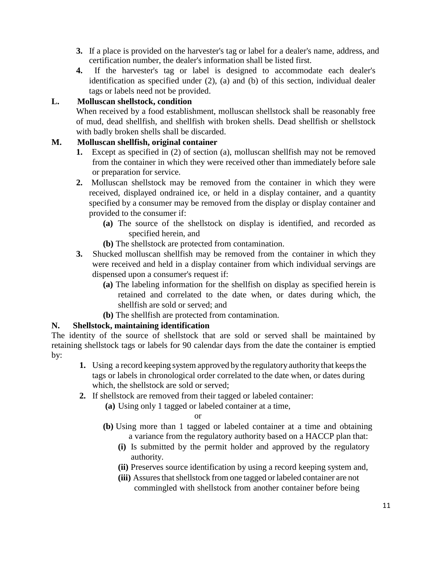- **3.** If a place is provided on the harvester's tag or label for a dealer's name, address, and certification number, the dealer's information shall be listed first.
- **4.** If the harvester's tag or label is designed to accommodate each dealer's identification as specified under (2), (a) and (b) of this section, individual dealer tags or labels need not be provided.

# **L. Molluscan shellstock, condition**

When received by a food establishment, molluscan shellstock shall be reasonably free of mud, dead shellfish, and shellfish with broken shells. Dead shellfish or shellstock with badly broken shells shall be discarded.

# **M. Molluscan shellfish, original container**

- **1.** Except as specified in (2) of section (a), molluscan shellfish may not be removed from the container in which they were received other than immediately before sale or preparation for service.
- **2.** Molluscan shellstock may be removed from the container in which they were received, displayed ondrained ice, or held in a display container, and a quantity specified by a consumer may be removed from the display or display container and provided to the consumer if:
	- **(a)** The source of the shellstock on display is identified, and recorded as specified herein, and
	- **(b)** The shellstock are protected from contamination.
- **3.** Shucked molluscan shellfish may be removed from the container in which they were received and held in a display container from which individual servings are dispensed upon a consumer's request if:
	- **(a)** The labeling information for the shellfish on display as specified herein is retained and correlated to the date when, or dates during which, the shellfish are sold or served; and
	- **(b)** The shellfish are protected from contamination.

# **N. Shellstock, maintaining identification**

The identity of the source of shellstock that are sold or served shall be maintained by retaining shellstock tags or labels for 90 calendar days from the date the container is emptied by:

- **1.** Using a record keeping system approved by the regulatory authority that keeps the tags or labels in chronological order correlated to the date when, or dates during which, the shellstock are sold or served;
- **2.** If shellstock are removed from their tagged or labeled container:
	- **(a)** Using only 1 tagged or labeled container at a time,

or

- **(b)** Using more than 1 tagged or labeled container at a time and obtaining a variance from the regulatory authority based on a HACCP plan that:
	- **(i)** Is submitted by the permit holder and approved by the regulatory authority.
	- **(ii)** Preserves source identification by using a record keeping system and,
	- **(iii)** Assures that shellstock from one tagged or labeled container are not commingled with shellstock from another container before being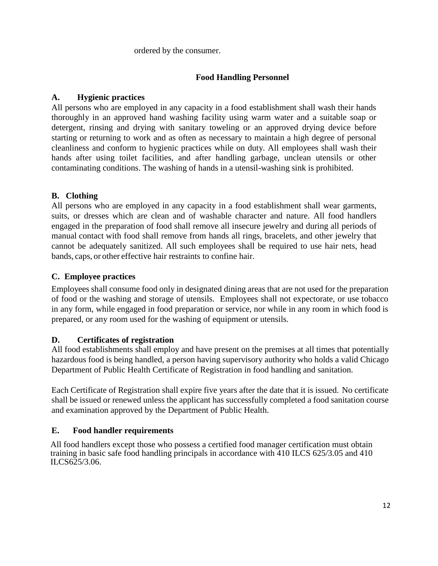ordered by the consumer.

# **Food Handling Personnel**

# **A. Hygienic practices**

All persons who are employed in any capacity in a food establishment shall wash their hands thoroughly in an approved hand washing facility using warm water and a suitable soap or detergent, rinsing and drying with sanitary toweling or an approved drying device before starting or returning to work and as often as necessary to maintain a high degree of personal cleanliness and conform to hygienic practices while on duty. All employees shall wash their hands after using toilet facilities, and after handling garbage, unclean utensils or other contaminating conditions. The washing of hands in a utensil-washing sink is prohibited.

# **B. Clothing**

All persons who are employed in any capacity in a food establishment shall wear garments, suits, or dresses which are clean and of washable character and nature. All food handlers engaged in the preparation of food shall remove all insecure jewelry and during all periods of manual contact with food shall remove from hands all rings, bracelets, and other jewelry that cannot be adequately sanitized. All such employees shall be required to use hair nets, head bands, caps, or other effective hair restraints to confine hair.

# **C. Employee practices**

Employees shall consume food only in designated dining areas that are not used for the preparation of food or the washing and storage of utensils. Employees shall not expectorate, or use tobacco in any form, while engaged in food preparation or service, nor while in any room in which food is prepared, or any room used for the washing of equipment or utensils.

# **D. Certificates of registration**

All food establishments shall employ and have present on the premises at all times that potentially hazardous food is being handled, a person having supervisory authority who holds a valid Chicago Department of Public Health Certificate of Registration in food handling and sanitation.

Each Certificate of Registration shall expire five years after the date that it is issued. No certificate shall be issued or renewed unless the applicant has successfully completed a food sanitation course and examination approved by the Department of Public Health.

#### **E. Food handler requirements**

All food handlers except those who possess a certified food manager certification must obtain training in basic safe food handling principals in accordance with 410 ILCS 625/3.05 and 410 ILCS625/3.06.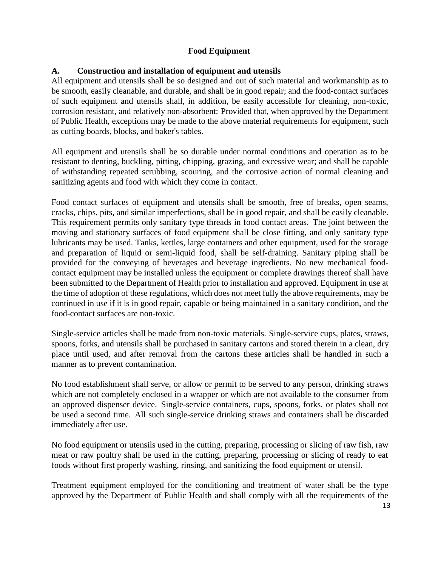# **Food Equipment**

## **A. Construction and installation of equipment and utensils**

All equipment and utensils shall be so designed and out of such material and workmanship as to be smooth, easily cleanable, and durable, and shall be in good repair; and the food-contact surfaces of such equipment and utensils shall, in addition, be easily accessible for cleaning, non-toxic, corrosion resistant, and relatively non-absorbent: Provided that, when approved by the Department of Public Health, exceptions may be made to the above material requirements for equipment, such as cutting boards, blocks, and baker's tables.

All equipment and utensils shall be so durable under normal conditions and operation as to be resistant to denting, buckling, pitting, chipping, grazing, and excessive wear; and shall be capable of withstanding repeated scrubbing, scouring, and the corrosive action of normal cleaning and sanitizing agents and food with which they come in contact.

Food contact surfaces of equipment and utensils shall be smooth, free of breaks, open seams, cracks, chips, pits, and similar imperfections, shall be in good repair, and shall be easily cleanable. This requirement permits only sanitary type threads in food contact areas. The joint between the moving and stationary surfaces of food equipment shall be close fitting, and only sanitary type lubricants may be used. Tanks, kettles, large containers and other equipment, used for the storage and preparation of liquid or semi-liquid food, shall be self-draining. Sanitary piping shall be provided for the conveying of beverages and beverage ingredients. No new mechanical foodcontact equipment may be installed unless the equipment or complete drawings thereof shall have been submitted to the Department of Health prior to installation and approved. Equipment in use at the time of adoption of these regulations, which does not meet fully the above requirements, may be continued in use if it is in good repair, capable or being maintained in a sanitary condition, and the food-contact surfaces are non-toxic.

Single-service articles shall be made from non-toxic materials. Single-service cups, plates, straws, spoons, forks, and utensils shall be purchased in sanitary cartons and stored therein in a clean, dry place until used, and after removal from the cartons these articles shall be handled in such a manner as to prevent contamination.

No food establishment shall serve, or allow or permit to be served to any person, drinking straws which are not completely enclosed in a wrapper or which are not available to the consumer from an approved dispenser device. Single-service containers, cups, spoons, forks, or plates shall not be used a second time. All such single-service drinking straws and containers shall be discarded immediately after use.

No food equipment or utensils used in the cutting, preparing, processing or slicing of raw fish, raw meat or raw poultry shall be used in the cutting, preparing, processing or slicing of ready to eat foods without first properly washing, rinsing, and sanitizing the food equipment or utensil.

Treatment equipment employed for the conditioning and treatment of water shall be the type approved by the Department of Public Health and shall comply with all the requirements of the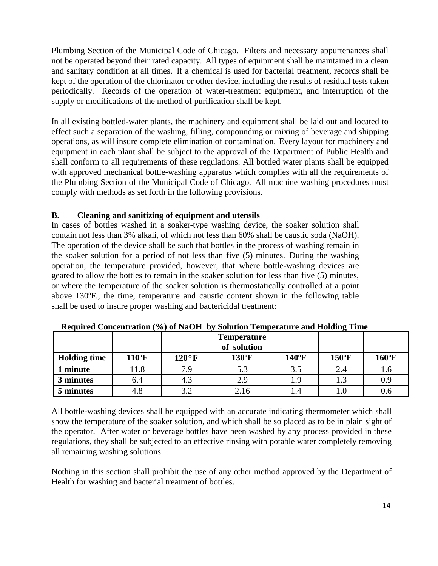Plumbing Section of the Municipal Code of Chicago. Filters and necessary appurtenances shall not be operated beyond their rated capacity. All types of equipment shall be maintained in a clean and sanitary condition at all times. If a chemical is used for bacterial treatment, records shall be kept of the operation of the chlorinator or other device, including the results of residual tests taken periodically. Records of the operation of water-treatment equipment, and interruption of the supply or modifications of the method of purification shall be kept.

In all existing bottled-water plants, the machinery and equipment shall be laid out and located to effect such a separation of the washing, filling, compounding or mixing of beverage and shipping operations, as will insure complete elimination of contamination. Every layout for machinery and equipment in each plant shall be subject to the approval of the Department of Public Health and shall conform to all requirements of these regulations. All bottled water plants shall be equipped with approved mechanical bottle-washing apparatus which complies with all the requirements of the Plumbing Section of the Municipal Code of Chicago. All machine washing procedures must comply with methods as set forth in the following provisions.

# **B. Cleaning and sanitizing of equipment and utensils**

In cases of bottles washed in a soaker-type washing device, the soaker solution shall contain not less than 3% alkali, of which not less than 60% shall be caustic soda (NaOH). The operation of the device shall be such that bottles in the process of washing remain in the soaker solution for a period of not less than five (5) minutes. During the washing operation, the temperature provided, however, that where bottle-washing devices are geared to allow the bottles to remain in the soaker solution for less than five (5) minutes, or where the temperature of the soaker solution is thermostatically controlled at a point above 130ºF., the time, temperature and caustic content shown in the following table shall be used to insure proper washing and bactericidal treatment:

|                     |                |                | <b>Temperature</b><br>of solution |                 |                 |                |
|---------------------|----------------|----------------|-----------------------------------|-----------------|-----------------|----------------|
| <b>Holding time</b> | $110^{\circ}F$ | $120^{\circ}F$ | $130^{\circ}F$                    | $140^{\circ}$ F | $150^{\circ}$ F | $160^{\circ}F$ |
| minute              | 1.8            | 7.9            | 5.3                               | 3.5             | 2.4             | 1.6            |
| 3 minutes           | 6.4            | 4.3            | 2.9                               |                 |                 | 0.9            |
| 5 minutes           | 4.8            | 3.2            | 2.16                              |                 |                 | 0.6            |

**Required Concentration (%) of NaOH by Solution Temperature and Holding Time**

All bottle-washing devices shall be equipped with an accurate indicating thermometer which shall show the temperature of the soaker solution, and which shall be so placed as to be in plain sight of the operator. After water or beverage bottles have been washed by any process provided in these regulations, they shall be subjected to an effective rinsing with potable water completely removing all remaining washing solutions.

Nothing in this section shall prohibit the use of any other method approved by the Department of Health for washing and bacterial treatment of bottles.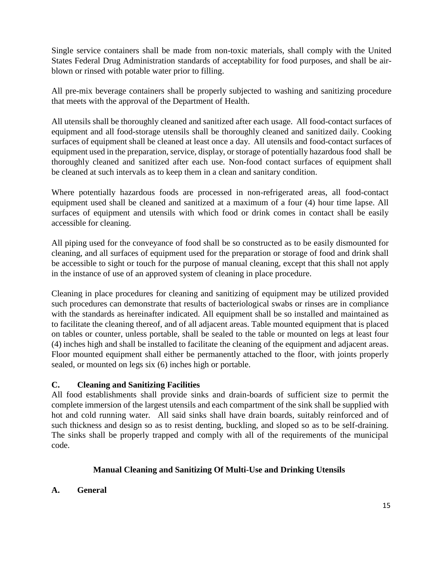Single service containers shall be made from non-toxic materials, shall comply with the United States Federal Drug Administration standards of acceptability for food purposes, and shall be airblown or rinsed with potable water prior to filling.

All pre-mix beverage containers shall be properly subjected to washing and sanitizing procedure that meets with the approval of the Department of Health.

All utensils shall be thoroughly cleaned and sanitized after each usage. All food-contact surfaces of equipment and all food-storage utensils shall be thoroughly cleaned and sanitized daily. Cooking surfaces of equipment shall be cleaned at least once a day. All utensils and food-contact surfaces of equipment used in the preparation, service, display, or storage of potentially hazardous food shall be thoroughly cleaned and sanitized after each use. Non-food contact surfaces of equipment shall be cleaned at such intervals as to keep them in a clean and sanitary condition.

Where potentially hazardous foods are processed in non-refrigerated areas, all food-contact equipment used shall be cleaned and sanitized at a maximum of a four (4) hour time lapse. All surfaces of equipment and utensils with which food or drink comes in contact shall be easily accessible for cleaning.

All piping used for the conveyance of food shall be so constructed as to be easily dismounted for cleaning, and all surfaces of equipment used for the preparation or storage of food and drink shall be accessible to sight or touch for the purpose of manual cleaning, except that this shall not apply in the instance of use of an approved system of cleaning in place procedure.

Cleaning in place procedures for cleaning and sanitizing of equipment may be utilized provided such procedures can demonstrate that results of bacteriological swabs or rinses are in compliance with the standards as hereinafter indicated. All equipment shall be so installed and maintained as to facilitate the cleaning thereof, and of all adjacent areas. Table mounted equipment that is placed on tables or counter, unless portable, shall be sealed to the table or mounted on legs at least four (4) inches high and shall be installed to facilitate the cleaning of the equipment and adjacent areas. Floor mounted equipment shall either be permanently attached to the floor, with joints properly sealed, or mounted on legs six (6) inches high or portable.

#### **C. Cleaning and Sanitizing Facilities**

All food establishments shall provide sinks and drain-boards of sufficient size to permit the complete immersion of the largest utensils and each compartment of the sink shall be supplied with hot and cold running water. All said sinks shall have drain boards, suitably reinforced and of such thickness and design so as to resist denting, buckling, and sloped so as to be self-draining. The sinks shall be properly trapped and comply with all of the requirements of the municipal code.

# **Manual Cleaning and Sanitizing Of Multi-Use and Drinking Utensils**

#### **A. General**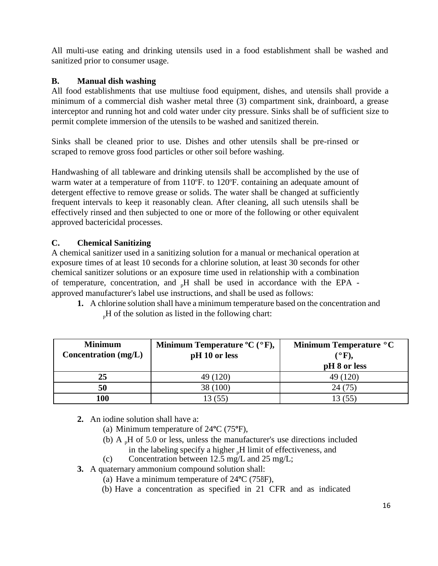All multi-use eating and drinking utensils used in a food establishment shall be washed and sanitized prior to consumer usage.

# **B. Manual dish washing**

All food establishments that use multiuse food equipment, dishes, and utensils shall provide a minimum of a commercial dish washer metal three (3) compartment sink, drainboard, a grease interceptor and running hot and cold water under city pressure. Sinks shall be of sufficient size to permit complete immersion of the utensils to be washed and sanitized therein.

Sinks shall be cleaned prior to use. Dishes and other utensils shall be pre-rinsed or scraped to remove gross food particles or other soil before washing.

Handwashing of all tableware and drinking utensils shall be accomplished by the use of warm water at a temperature of from 110°F. to 120°F. containing an adequate amount of detergent effective to remove grease or solids. The water shall be changed at sufficiently frequent intervals to keep it reasonably clean. After cleaning, all such utensils shall be effectively rinsed and then subjected to one or more of the following or other equivalent approved bactericidal processes.

# **C. Chemical Sanitizing**

A chemical sanitizer used in a sanitizing solution for a manual or mechanical operation at exposure times of at least 10 seconds for a chlorine solution, at least 30 seconds for other chemical sanitizer solutions or an exposure time used in relationship with a combination of temperature, concentration, and  $_{p}H$  shall be used in accordance with the EPA approved manufacturer's label use instructions, and shall be used as follows:

**1.** A chlorine solution shall have a minimum temperature based on the concentration and  $_{n}$ H of the solution as listed in the following chart:

| <b>Minimum</b>         | Minimum Temperature ${}^{\circ}C$ ( ${}^{\circ}F$ ), | Minimum Temperature °C |
|------------------------|------------------------------------------------------|------------------------|
| Concentration $(mg/L)$ | pH 10 or less                                        | (°F),                  |
|                        |                                                      | pH 8 or less           |
| 25                     | 49 (120)                                             | 49 (120)               |
| 50                     | 38 (100)                                             |                        |
| 100                    |                                                      |                        |

- **2.** An iodine solution shall have a:
	- (a) Minimum temperature of 24**º**C (75**º**F),
	- (b)  $A H$  of 5.0 or less, unless the manufacturer's use directions included in the labeling specify a higher <sub>n</sub>H limit of effectiveness, and
	- (c) Concentration between 12.5 mg/L and 25 mg/L;
- **3.** A quaternary ammonium compound solution shall:
	- (a) Have a minimum temperature of 24**º**C (75BF),
	- (b) Have a concentration as specified in 21 CFR and as indicated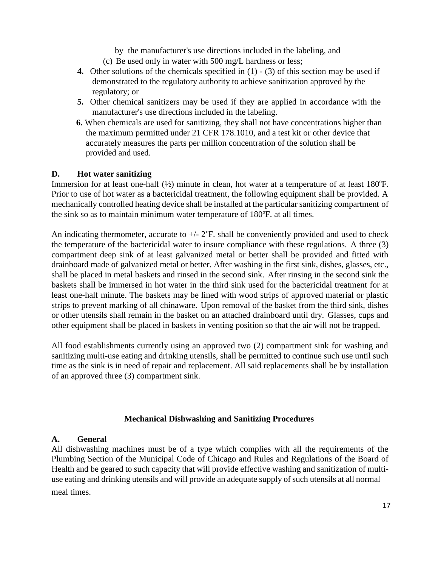by the manufacturer's use directions included in the labeling, and

- (c) Be used only in water with 500 mg/L hardness or less;
- **4.** Other solutions of the chemicals specified in (1) (3) of this section may be used if demonstrated to the regulatory authority to achieve sanitization approved by the regulatory; or
- **5.** Other chemical sanitizers may be used if they are applied in accordance with the manufacturer's use directions included in the labeling.
- **6.** When chemicals are used for sanitizing, they shall not have concentrations higher than the maximum permitted under 21 CFR 178.1010, and a test kit or other device that accurately measures the parts per million concentration of the solution shall be provided and used.

#### **D. Hot water sanitizing**

Immersion for at least one-half  $(\frac{1}{2})$  minute in clean, hot water at a temperature of at least 180°F. Prior to use of hot water as a bactericidal treatment, the following equipment shall be provided. A mechanically controlled heating device shall be installed at the particular sanitizing compartment of the sink so as to maintain minimum water temperature of  $180^\circ$ F. at all times.

An indicating thermometer, accurate to  $+/- 2$ °F. shall be conveniently provided and used to check the temperature of the bactericidal water to insure compliance with these regulations. A three (3) compartment deep sink of at least galvanized metal or better shall be provided and fitted with drainboard made of galvanized metal or better. After washing in the first sink, dishes, glasses, etc., shall be placed in metal baskets and rinsed in the second sink. After rinsing in the second sink the baskets shall be immersed in hot water in the third sink used for the bactericidal treatment for at least one-half minute. The baskets may be lined with wood strips of approved material or plastic strips to prevent marking of all chinaware. Upon removal of the basket from the third sink, dishes or other utensils shall remain in the basket on an attached drainboard until dry. Glasses, cups and other equipment shall be placed in baskets in venting position so that the air will not be trapped.

All food establishments currently using an approved two (2) compartment sink for washing and sanitizing multi-use eating and drinking utensils, shall be permitted to continue such use until such time as the sink is in need of repair and replacement. All said replacements shall be by installation of an approved three (3) compartment sink.

#### **Mechanical Dishwashing and Sanitizing Procedures**

#### **A. General**

All dishwashing machines must be of a type which complies with all the requirements of the Plumbing Section of the Municipal Code of Chicago and Rules and Regulations of the Board of Health and be geared to such capacity that will provide effective washing and sanitization of multiuse eating and drinking utensils and will provide an adequate supply of such utensils at all normal meal times.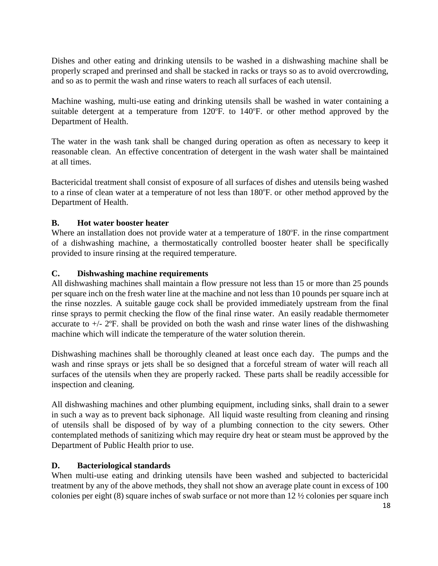Dishes and other eating and drinking utensils to be washed in a dishwashing machine shall be properly scraped and prerinsed and shall be stacked in racks or trays so as to avoid overcrowding, and so as to permit the wash and rinse waters to reach all surfaces of each utensil.

Machine washing, multi-use eating and drinking utensils shall be washed in water containing a suitable detergent at a temperature from  $120^{\circ}$ F. to  $140^{\circ}$ F. or other method approved by the Department of Health.

The water in the wash tank shall be changed during operation as often as necessary to keep it reasonable clean. An effective concentration of detergent in the wash water shall be maintained at all times.

Bactericidal treatment shall consist of exposure of all surfaces of dishes and utensils being washed to a rinse of clean water at a temperature of not less than 180°F. or other method approved by the Department of Health.

#### **B. Hot water booster heater**

Where an installation does not provide water at a temperature of 180°F. in the rinse compartment of a dishwashing machine, a thermostatically controlled booster heater shall be specifically provided to insure rinsing at the required temperature.

#### **C. Dishwashing machine requirements**

All dishwashing machines shall maintain a flow pressure not less than 15 or more than 25 pounds per square inch on the fresh water line at the machine and not less than 10 pounds per square inch at the rinse nozzles. A suitable gauge cock shall be provided immediately upstream from the final rinse sprays to permit checking the flow of the final rinse water. An easily readable thermometer accurate to  $+/- 2$ °F. shall be provided on both the wash and rinse water lines of the dishwashing machine which will indicate the temperature of the water solution therein.

Dishwashing machines shall be thoroughly cleaned at least once each day. The pumps and the wash and rinse sprays or jets shall be so designed that a forceful stream of water will reach all surfaces of the utensils when they are properly racked. These parts shall be readily accessible for inspection and cleaning.

All dishwashing machines and other plumbing equipment, including sinks, shall drain to a sewer in such a way as to prevent back siphonage. All liquid waste resulting from cleaning and rinsing of utensils shall be disposed of by way of a plumbing connection to the city sewers. Other contemplated methods of sanitizing which may require dry heat or steam must be approved by the Department of Public Health prior to use.

#### **D. Bacteriological standards**

When multi-use eating and drinking utensils have been washed and subjected to bactericidal treatment by any of the above methods, they shall not show an average plate count in excess of 100 colonies per eight (8) square inches of swab surface or not more than 12 ½ colonies per square inch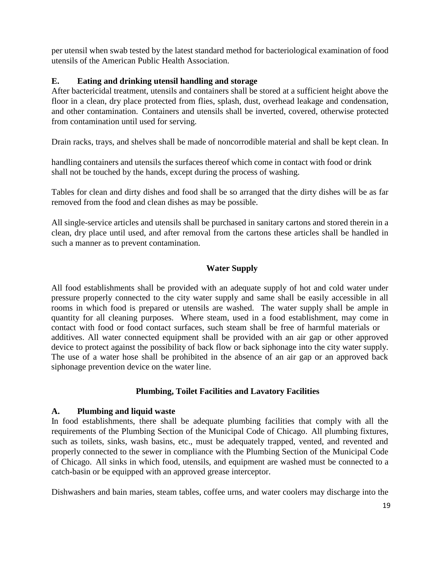per utensil when swab tested by the latest standard method for bacteriological examination of food utensils of the American Public Health Association.

## **E. Eating and drinking utensil handling and storage**

After bactericidal treatment, utensils and containers shall be stored at a sufficient height above the floor in a clean, dry place protected from flies, splash, dust, overhead leakage and condensation, and other contamination. Containers and utensils shall be inverted, covered, otherwise protected from contamination until used for serving.

Drain racks, trays, and shelves shall be made of noncorrodible material and shall be kept clean. In

handling containers and utensils the surfaces thereof which come in contact with food or drink shall not be touched by the hands, except during the process of washing.

Tables for clean and dirty dishes and food shall be so arranged that the dirty dishes will be as far removed from the food and clean dishes as may be possible.

All single-service articles and utensils shall be purchased in sanitary cartons and stored therein in a clean, dry place until used, and after removal from the cartons these articles shall be handled in such a manner as to prevent contamination.

# **Water Supply**

All food establishments shall be provided with an adequate supply of hot and cold water under pressure properly connected to the city water supply and same shall be easily accessible in all rooms in which food is prepared or utensils are washed. The water supply shall be ample in quantity for all cleaning purposes. Where steam, used in a food establishment, may come in contact with food or food contact surfaces, such steam shall be free of harmful materials or additives. All water connected equipment shall be provided with an air gap or other approved device to protect against the possibility of back flow or back siphonage into the city water supply. The use of a water hose shall be prohibited in the absence of an air gap or an approved back siphonage prevention device on the water line.

#### **Plumbing, Toilet Facilities and Lavatory Facilities**

#### **A. Plumbing and liquid waste**

In food establishments, there shall be adequate plumbing facilities that comply with all the requirements of the Plumbing Section of the Municipal Code of Chicago. All plumbing fixtures, such as toilets, sinks, wash basins, etc., must be adequately trapped, vented, and revented and properly connected to the sewer in compliance with the Plumbing Section of the Municipal Code of Chicago. All sinks in which food, utensils, and equipment are washed must be connected to a catch-basin or be equipped with an approved grease interceptor.

Dishwashers and bain maries, steam tables, coffee urns, and water coolers may discharge into the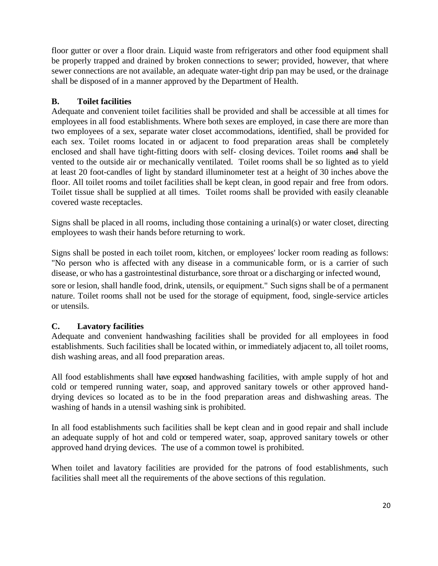floor gutter or over a floor drain. Liquid waste from refrigerators and other food equipment shall be properly trapped and drained by broken connections to sewer; provided, however, that where sewer connections are not available, an adequate water-tight drip pan may be used, or the drainage shall be disposed of in a manner approved by the Department of Health.

# **B. Toilet facilities**

Adequate and convenient toilet facilities shall be provided and shall be accessible at all times for employees in all food establishments. Where both sexes are employed, in case there are more than two employees of a sex, separate water closet accommodations, identified, shall be provided for each sex. Toilet rooms located in or adjacent to food preparation areas shall be completely enclosed and shall have tight-fitting doors with self- closing devices. Toilet rooms and shall be vented to the outside air or mechanically ventilated. Toilet rooms shall be so lighted as to yield at least 20 foot-candles of light by standard illuminometer test at a height of 30 inches above the floor. All toilet rooms and toilet facilities shall be kept clean, in good repair and free from odors. Toilet tissue shall be supplied at all times. Toilet rooms shall be provided with easily cleanable covered waste receptacles.

Signs shall be placed in all rooms, including those containing a urinal(s) or water closet, directing employees to wash their hands before returning to work.

Signs shall be posted in each toilet room, kitchen, or employees' locker room reading as follows: "No person who is affected with any disease in a communicable form, or is a carrier of such disease, or who has a gastrointestinal disturbance, sore throat or a discharging or infected wound,

sore or lesion, shall handle food, drink, utensils, or equipment." Such signs shall be of a permanent nature. Toilet rooms shall not be used for the storage of equipment, food, single-service articles or utensils.

# **C. Lavatory facilities**

Adequate and convenient handwashing facilities shall be provided for all employees in food establishments. Such facilities shall be located within, or immediately adjacent to, all toilet rooms, dish washing areas, and all food preparation areas.

All food establishments shall have exposed handwashing facilities, with ample supply of hot and cold or tempered running water, soap, and approved sanitary towels or other approved handdrying devices so located as to be in the food preparation areas and dishwashing areas. The washing of hands in a utensil washing sink is prohibited.

In all food establishments such facilities shall be kept clean and in good repair and shall include an adequate supply of hot and cold or tempered water, soap, approved sanitary towels or other approved hand drying devices. The use of a common towel is prohibited.

When toilet and lavatory facilities are provided for the patrons of food establishments, such facilities shall meet all the requirements of the above sections of this regulation.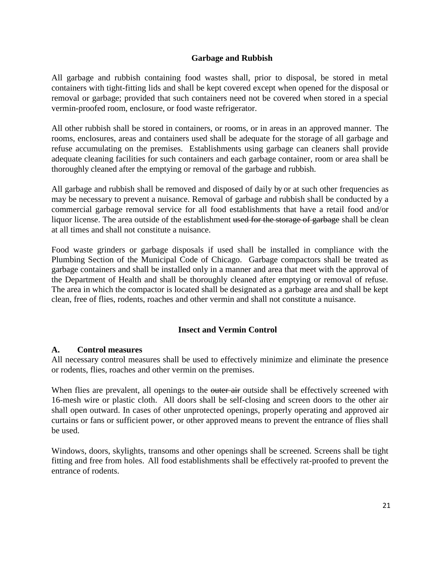#### **Garbage and Rubbish**

All garbage and rubbish containing food wastes shall, prior to disposal, be stored in metal containers with tight-fitting lids and shall be kept covered except when opened for the disposal or removal or garbage; provided that such containers need not be covered when stored in a special vermin-proofed room, enclosure, or food waste refrigerator.

All other rubbish shall be stored in containers, or rooms, or in areas in an approved manner. The rooms, enclosures, areas and containers used shall be adequate for the storage of all garbage and refuse accumulating on the premises. Establishments using garbage can cleaners shall provide adequate cleaning facilities for such containers and each garbage container, room or area shall be thoroughly cleaned after the emptying or removal of the garbage and rubbish.

All garbage and rubbish shall be removed and disposed of daily by or at such other frequencies as may be necessary to prevent a nuisance. Removal of garbage and rubbish shall be conducted by a commercial garbage removal service for all food establishments that have a retail food and/or liquor license. The area outside of the establishment used for the storage of garbage shall be clean at all times and shall not constitute a nuisance.

Food waste grinders or garbage disposals if used shall be installed in compliance with the Plumbing Section of the Municipal Code of Chicago. Garbage compactors shall be treated as garbage containers and shall be installed only in a manner and area that meet with the approval of the Department of Health and shall be thoroughly cleaned after emptying or removal of refuse. The area in which the compactor is located shall be designated as a garbage area and shall be kept clean, free of flies, rodents, roaches and other vermin and shall not constitute a nuisance.

#### **Insect and Vermin Control**

#### **A. Control measures**

All necessary control measures shall be used to effectively minimize and eliminate the presence or rodents, flies, roaches and other vermin on the premises.

When flies are prevalent, all openings to the outer air outside shall be effectively screened with 16-mesh wire or plastic cloth. All doors shall be self-closing and screen doors to the other air shall open outward. In cases of other unprotected openings, properly operating and approved air curtains or fans or sufficient power, or other approved means to prevent the entrance of flies shall be used.

Windows, doors, skylights, transoms and other openings shall be screened. Screens shall be tight fitting and free from holes. All food establishments shall be effectively rat-proofed to prevent the entrance of rodents.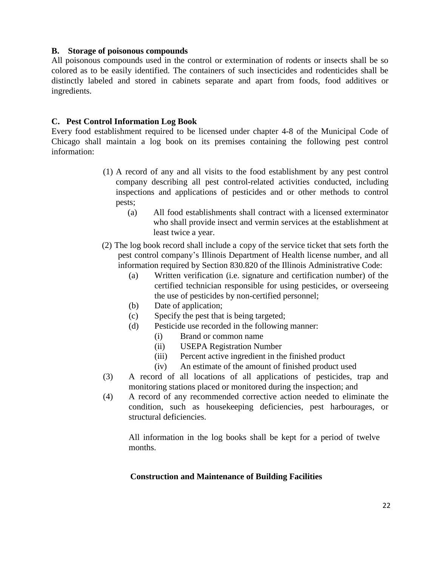#### **B. Storage of poisonous compounds**

All poisonous compounds used in the control or extermination of rodents or insects shall be so colored as to be easily identified. The containers of such insecticides and rodenticides shall be distinctly labeled and stored in cabinets separate and apart from foods, food additives or ingredients.

#### **C. Pest Control Information Log Book**

Every food establishment required to be licensed under chapter 4-8 of the Municipal Code of Chicago shall maintain a log book on its premises containing the following pest control information:

- (1) A record of any and all visits to the food establishment by any pest control company describing all pest control-related activities conducted, including inspections and applications of pesticides and or other methods to control pests;
	- (a) All food establishments shall contract with a licensed exterminator who shall provide insect and vermin services at the establishment at least twice a year.
- (2) The log book record shall include a copy of the service ticket that sets forth the pest control company's Illinois Department of Health license number, and all information required by Section 830.820 of the Illinois Administrative Code:
	- (a) Written verification (i.e. signature and certification number) of the certified technician responsible for using pesticides, or overseeing the use of pesticides by non-certified personnel;
	- (b) Date of application;
	- (c) Specify the pest that is being targeted;
	- (d) Pesticide use recorded in the following manner:
		- (i) Brand or common name
		- (ii) USEPA Registration Number
		- (iii) Percent active ingredient in the finished product
		- (iv) An estimate of the amount of finished product used
- (3) A record of all locations of all applications of pesticides, trap and monitoring stations placed or monitored during the inspection; and
- (4) A record of any recommended corrective action needed to eliminate the condition, such as housekeeping deficiencies, pest harbourages, or structural deficiencies.

All information in the log books shall be kept for a period of twelve months.

#### **Construction and Maintenance of Building Facilities**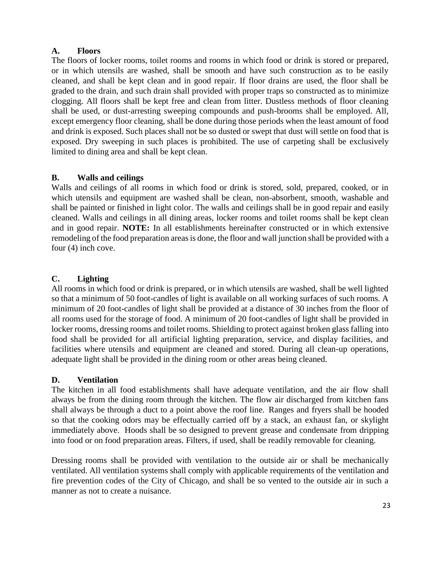# **A. Floors**

The floors of locker rooms, toilet rooms and rooms in which food or drink is stored or prepared, or in which utensils are washed, shall be smooth and have such construction as to be easily cleaned, and shall be kept clean and in good repair. If floor drains are used, the floor shall be graded to the drain, and such drain shall provided with proper traps so constructed as to minimize clogging. All floors shall be kept free and clean from litter. Dustless methods of floor cleaning shall be used, or dust-arresting sweeping compounds and push-brooms shall be employed. All, except emergency floor cleaning, shall be done during those periods when the least amount of food and drink is exposed. Such places shall not be so dusted or swept that dust will settle on food that is exposed. Dry sweeping in such places is prohibited. The use of carpeting shall be exclusively limited to dining area and shall be kept clean.

# **B. Walls and ceilings**

Walls and ceilings of all rooms in which food or drink is stored, sold, prepared, cooked, or in which utensils and equipment are washed shall be clean, non-absorbent, smooth, washable and shall be painted or finished in light color. The walls and ceilings shall be in good repair and easily cleaned. Walls and ceilings in all dining areas, locker rooms and toilet rooms shall be kept clean and in good repair. **NOTE:** In all establishments hereinafter constructed or in which extensive remodeling of the food preparation areas is done, the floor and wall junction shall be provided with a four (4) inch cove.

# **C. Lighting**

All rooms in which food or drink is prepared, or in which utensils are washed, shall be well lighted so that a minimum of 50 foot-candles of light is available on all working surfaces of such rooms. A minimum of 20 foot-candles of light shall be provided at a distance of 30 inches from the floor of all rooms used for the storage of food. A minimum of 20 foot-candles of light shall be provided in locker rooms, dressing rooms and toilet rooms. Shielding to protect against broken glass falling into food shall be provided for all artificial lighting preparation, service, and display facilities, and facilities where utensils and equipment are cleaned and stored. During all clean-up operations, adequate light shall be provided in the dining room or other areas being cleaned.

# **D. Ventilation**

The kitchen in all food establishments shall have adequate ventilation, and the air flow shall always be from the dining room through the kitchen. The flow air discharged from kitchen fans shall always be through a duct to a point above the roof line. Ranges and fryers shall be hooded so that the cooking odors may be effectually carried off by a stack, an exhaust fan, or skylight immediately above. Hoods shall be so designed to prevent grease and condensate from dripping into food or on food preparation areas. Filters, if used, shall be readily removable for cleaning.

Dressing rooms shall be provided with ventilation to the outside air or shall be mechanically ventilated. All ventilation systems shall comply with applicable requirements of the ventilation and fire prevention codes of the City of Chicago, and shall be so vented to the outside air in such a manner as not to create a nuisance.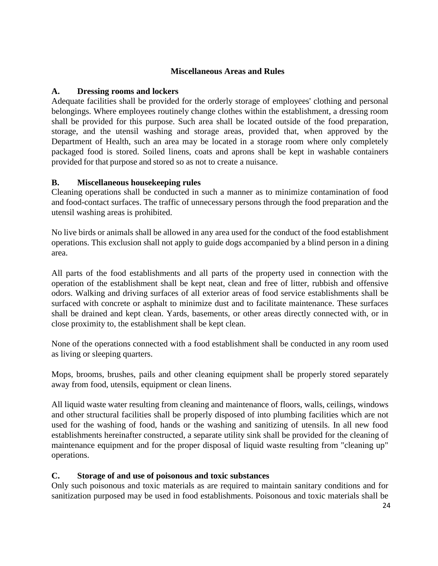#### **Miscellaneous Areas and Rules**

#### **A. Dressing rooms and lockers**

Adequate facilities shall be provided for the orderly storage of employees' clothing and personal belongings. Where employees routinely change clothes within the establishment, a dressing room shall be provided for this purpose. Such area shall be located outside of the food preparation, storage, and the utensil washing and storage areas, provided that, when approved by the Department of Health, such an area may be located in a storage room where only completely packaged food is stored. Soiled linens, coats and aprons shall be kept in washable containers provided for that purpose and stored so as not to create a nuisance.

#### **B. Miscellaneous housekeeping rules**

Cleaning operations shall be conducted in such a manner as to minimize contamination of food and food-contact surfaces. The traffic of unnecessary persons through the food preparation and the utensil washing areas is prohibited.

No live birds or animals shall be allowed in any area used for the conduct of the food establishment operations. This exclusion shall not apply to guide dogs accompanied by a blind person in a dining area.

All parts of the food establishments and all parts of the property used in connection with the operation of the establishment shall be kept neat, clean and free of litter, rubbish and offensive odors. Walking and driving surfaces of all exterior areas of food service establishments shall be surfaced with concrete or asphalt to minimize dust and to facilitate maintenance. These surfaces shall be drained and kept clean. Yards, basements, or other areas directly connected with, or in close proximity to, the establishment shall be kept clean.

None of the operations connected with a food establishment shall be conducted in any room used as living or sleeping quarters.

Mops, brooms, brushes, pails and other cleaning equipment shall be properly stored separately away from food, utensils, equipment or clean linens.

All liquid waste water resulting from cleaning and maintenance of floors, walls, ceilings, windows and other structural facilities shall be properly disposed of into plumbing facilities which are not used for the washing of food, hands or the washing and sanitizing of utensils. In all new food establishments hereinafter constructed, a separate utility sink shall be provided for the cleaning of maintenance equipment and for the proper disposal of liquid waste resulting from "cleaning up" operations.

#### **C. Storage of and use of poisonous and toxic substances**

Only such poisonous and toxic materials as are required to maintain sanitary conditions and for sanitization purposed may be used in food establishments. Poisonous and toxic materials shall be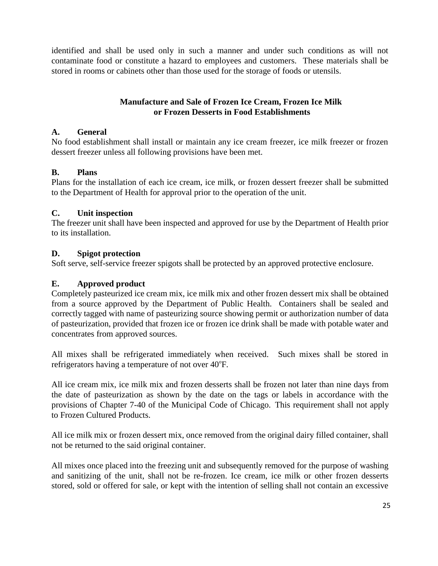identified and shall be used only in such a manner and under such conditions as will not contaminate food or constitute a hazard to employees and customers. These materials shall be stored in rooms or cabinets other than those used for the storage of foods or utensils.

## **Manufacture and Sale of Frozen Ice Cream, Frozen Ice Milk or Frozen Desserts in Food Establishments**

## **A. General**

No food establishment shall install or maintain any ice cream freezer, ice milk freezer or frozen dessert freezer unless all following provisions have been met.

# **B. Plans**

Plans for the installation of each ice cream, ice milk, or frozen dessert freezer shall be submitted to the Department of Health for approval prior to the operation of the unit.

# **C. Unit inspection**

The freezer unit shall have been inspected and approved for use by the Department of Health prior to its installation.

# **D. Spigot protection**

Soft serve, self-service freezer spigots shall be protected by an approved protective enclosure.

# **E. Approved product**

Completely pasteurized ice cream mix, ice milk mix and other frozen dessert mix shall be obtained from a source approved by the Department of Public Health. Containers shall be sealed and correctly tagged with name of pasteurizing source showing permit or authorization number of data of pasteurization, provided that frozen ice or frozen ice drink shall be made with potable water and concentrates from approved sources.

All mixes shall be refrigerated immediately when received. Such mixes shall be stored in refrigerators having a temperature of not over 40°F.

All ice cream mix, ice milk mix and frozen desserts shall be frozen not later than nine days from the date of pasteurization as shown by the date on the tags or labels in accordance with the provisions of Chapter 7-40 of the Municipal Code of Chicago. This requirement shall not apply to Frozen Cultured Products.

All ice milk mix or frozen dessert mix, once removed from the original dairy filled container, shall not be returned to the said original container.

All mixes once placed into the freezing unit and subsequently removed for the purpose of washing and sanitizing of the unit, shall not be re-frozen. Ice cream, ice milk or other frozen desserts stored, sold or offered for sale, or kept with the intention of selling shall not contain an excessive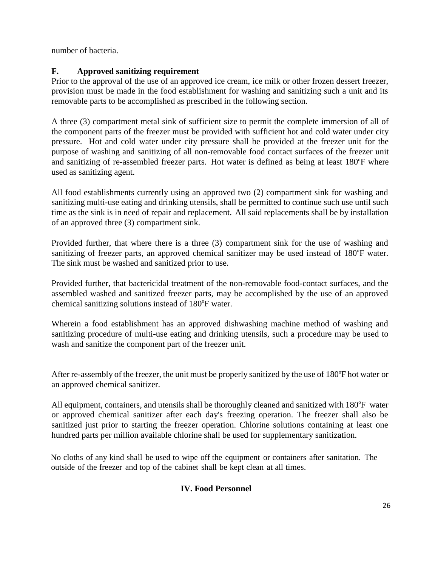number of bacteria.

# **F. Approved sanitizing requirement**

Prior to the approval of the use of an approved ice cream, ice milk or other frozen dessert freezer, provision must be made in the food establishment for washing and sanitizing such a unit and its removable parts to be accomplished as prescribed in the following section.

A three (3) compartment metal sink of sufficient size to permit the complete immersion of all of the component parts of the freezer must be provided with sufficient hot and cold water under city pressure. Hot and cold water under city pressure shall be provided at the freezer unit for the purpose of washing and sanitizing of all non-removable food contact surfaces of the freezer unit and sanitizing of re-assembled freezer parts. Hot water is defined as being at least 180°F where used as sanitizing agent.

All food establishments currently using an approved two (2) compartment sink for washing and sanitizing multi-use eating and drinking utensils, shall be permitted to continue such use until such time as the sink is in need of repair and replacement. All said replacements shall be by installation of an approved three (3) compartment sink.

Provided further, that where there is a three (3) compartment sink for the use of washing and sanitizing of freezer parts, an approved chemical sanitizer may be used instead of 180°F water. The sink must be washed and sanitized prior to use.

Provided further, that bactericidal treatment of the non-removable food-contact surfaces, and the assembled washed and sanitized freezer parts, may be accomplished by the use of an approved chemical sanitizing solutions instead of 180°F water.

Wherein a food establishment has an approved dishwashing machine method of washing and sanitizing procedure of multi-use eating and drinking utensils, such a procedure may be used to wash and sanitize the component part of the freezer unit.

After re-assembly of the freezer, the unit must be properly sanitized by the use of 180°F hot water or an approved chemical sanitizer.

All equipment, containers, and utensils shall be thoroughly cleaned and sanitized with 180°F water or approved chemical sanitizer after each day's freezing operation. The freezer shall also be sanitized just prior to starting the freezer operation. Chlorine solutions containing at least one hundred parts per million available chlorine shall be used for supplementary sanitization.

No cloths of any kind shall be used to wipe off the equipment or containers after sanitation. The outside of the freezer and top of the cabinet shall be kept clean at all times.

# **IV. Food Personnel**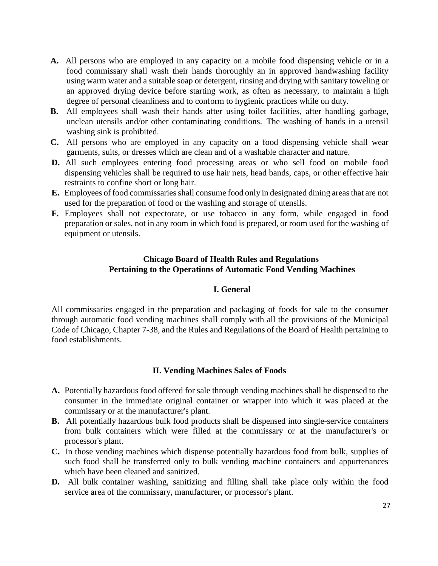- **A.** All persons who are employed in any capacity on a mobile food dispensing vehicle or in a food commissary shall wash their hands thoroughly an in approved handwashing facility using warm water and a suitable soap or detergent, rinsing and drying with sanitary toweling or an approved drying device before starting work, as often as necessary, to maintain a high degree of personal cleanliness and to conform to hygienic practices while on duty.
- **B.** All employees shall wash their hands after using toilet facilities, after handling garbage, unclean utensils and/or other contaminating conditions. The washing of hands in a utensil washing sink is prohibited.
- **C.** All persons who are employed in any capacity on a food dispensing vehicle shall wear garments, suits, or dresses which are clean and of a washable character and nature.
- **D.** All such employees entering food processing areas or who sell food on mobile food dispensing vehicles shall be required to use hair nets, head bands, caps, or other effective hair restraints to confine short or long hair.
- **E.** Employees of food commissaries shall consume food only in designated dining areas that are not used for the preparation of food or the washing and storage of utensils.
- **F.** Employees shall not expectorate, or use tobacco in any form, while engaged in food preparation or sales, not in any room in which food is prepared, or room used for the washing of equipment or utensils.

## **Chicago Board of Health Rules and Regulations Pertaining to the Operations of Automatic Food Vending Machines**

#### **I. General**

All commissaries engaged in the preparation and packaging of foods for sale to the consumer through automatic food vending machines shall comply with all the provisions of the Municipal Code of Chicago, Chapter 7-38, and the Rules and Regulations of the Board of Health pertaining to food establishments.

#### **II. Vending Machines Sales of Foods**

- **A.** Potentially hazardous food offered for sale through vending machines shall be dispensed to the consumer in the immediate original container or wrapper into which it was placed at the commissary or at the manufacturer's plant.
- **B.** All potentially hazardous bulk food products shall be dispensed into single-service containers from bulk containers which were filled at the commissary or at the manufacturer's or processor's plant.
- **C.** In those vending machines which dispense potentially hazardous food from bulk, supplies of such food shall be transferred only to bulk vending machine containers and appurtenances which have been cleaned and sanitized.
- **D.** All bulk container washing, sanitizing and filling shall take place only within the food service area of the commissary, manufacturer, or processor's plant.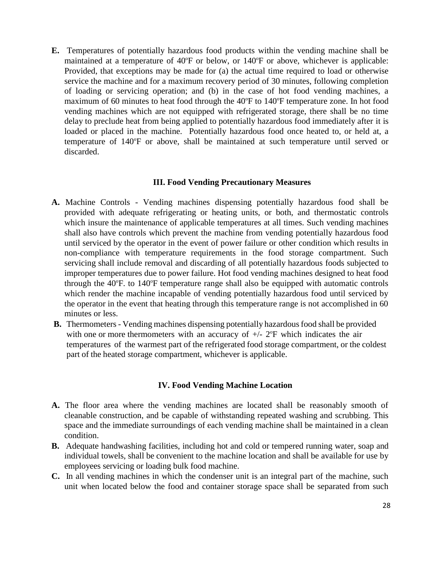**E.** Temperatures of potentially hazardous food products within the vending machine shall be maintained at a temperature of 40°F or below, or 140°F or above, whichever is applicable: Provided, that exceptions may be made for (a) the actual time required to load or otherwise service the machine and for a maximum recovery period of 30 minutes, following completion of loading or servicing operation; and (b) in the case of hot food vending machines, a maximum of 60 minutes to heat food through the 40°F to 140°F temperature zone. In hot food vending machines which are not equipped with refrigerated storage, there shall be no time delay to preclude heat from being applied to potentially hazardous food immediately after it is loaded or placed in the machine. Potentially hazardous food once heated to, or held at, a temperature of 140°F or above, shall be maintained at such temperature until served or discarded.

#### **III. Food Vending Precautionary Measures**

- **A.** Machine Controls Vending machines dispensing potentially hazardous food shall be provided with adequate refrigerating or heating units, or both, and thermostatic controls which insure the maintenance of applicable temperatures at all times. Such vending machines shall also have controls which prevent the machine from vending potentially hazardous food until serviced by the operator in the event of power failure or other condition which results in non-compliance with temperature requirements in the food storage compartment. Such servicing shall include removal and discarding of all potentially hazardous foods subjected to improper temperatures due to power failure. Hot food vending machines designed to heat food through the  $40^{\circ}$ F. to  $140^{\circ}$ F temperature range shall also be equipped with automatic controls which render the machine incapable of vending potentially hazardous food until serviced by the operator in the event that heating through this temperature range is not accomplished in 60 minutes or less.
- **B.** Thermometers Vending machines dispensing potentially hazardous food shall be provided with one or more thermometers with an accuracy of  $+/- 2$ °F which indicates the air temperatures of the warmest part of the refrigerated food storage compartment, or the coldest part of the heated storage compartment, whichever is applicable.

#### **IV. Food Vending Machine Location**

- **A.** The floor area where the vending machines are located shall be reasonably smooth of cleanable construction, and be capable of withstanding repeated washing and scrubbing. This space and the immediate surroundings of each vending machine shall be maintained in a clean condition.
- **B.** Adequate handwashing facilities, including hot and cold or tempered running water, soap and individual towels, shall be convenient to the machine location and shall be available for use by employees servicing or loading bulk food machine.
- **C.** In all vending machines in which the condenser unit is an integral part of the machine, such unit when located below the food and container storage space shall be separated from such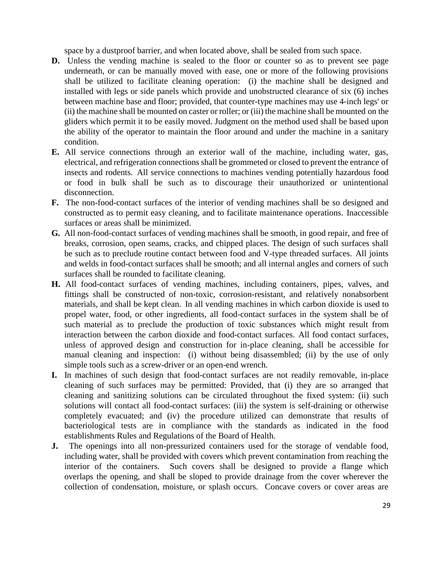space by a dustproof barrier, and when located above, shall be sealed from such space.

- **D.** Unless the vending machine is sealed to the floor or counter so as to prevent see page underneath, or can be manually moved with ease, one or more of the following provisions shall be utilized to facilitate cleaning operation: (i) the machine shall be designed and installed with legs or side panels which provide and unobstructed clearance of six (6) inches between machine base and floor; provided, that counter-type machines may use 4-inch legs' or (ii) the machine shall be mounted on caster or roller; or (iii) the machine shall be mounted on the gliders which permit it to be easily moved. Judgment on the method used shall be based upon the ability of the operator to maintain the floor around and under the machine in a sanitary condition.
- **E.** All service connections through an exterior wall of the machine, including water, gas, electrical, and refrigeration connections shall be grommeted or closed to prevent the entrance of insects and rodents. All service connections to machines vending potentially hazardous food or food in bulk shall be such as to discourage their unauthorized or unintentional disconnection.
- **F.** The non-food-contact surfaces of the interior of vending machines shall be so designed and constructed as to permit easy cleaning, and to facilitate maintenance operations. Inaccessible surfaces or areas shall be minimized.
- **G.** All non-food-contact surfaces of vending machines shall be smooth, in good repair, and free of breaks, corrosion, open seams, cracks, and chipped places. The design of such surfaces shall be such as to preclude routine contact between food and V-type threaded surfaces. All joints and welds in food-contact surfaces shall be smooth; and all internal angles and corners of such surfaces shall be rounded to facilitate cleaning.
- **H.** All food-contact surfaces of vending machines, including containers, pipes, valves, and fittings shall be constructed of non-toxic, corrosion-resistant, and relatively nonabsorbent materials, and shall be kept clean. In all vending machines in which carbon dioxide is used to propel water, food, or other ingredients, all food-contact surfaces in the system shall be of such material as to preclude the production of toxic substances which might result from interaction between the carbon dioxide and food-contact surfaces. All food contact surfaces, unless of approved design and construction for in-place cleaning, shall be accessible for manual cleaning and inspection: (i) without being disassembled; (ii) by the use of only simple tools such as a screw-driver or an open-end wrench.
- **I.** In machines of such design that food-contact surfaces are not readily removable, in-place cleaning of such surfaces may be permitted: Provided, that (i) they are so arranged that cleaning and sanitizing solutions can be circulated throughout the fixed system: (ii) such solutions will contact all food-contact surfaces: (iii) the system is self-draining or otherwise completely evacuated; and (iv) the procedure utilized can demonstrate that results of bacteriological tests are in compliance with the standards as indicated in the food establishments Rules and Regulations of the Board of Health.
- **J.** The openings into all non-pressurized containers used for the storage of vendable food, including water, shall be provided with covers which prevent contamination from reaching the interior of the containers. Such covers shall be designed to provide a flange which overlaps the opening, and shall be sloped to provide drainage from the cover wherever the collection of condensation, moisture, or splash occurs. Concave covers or cover areas are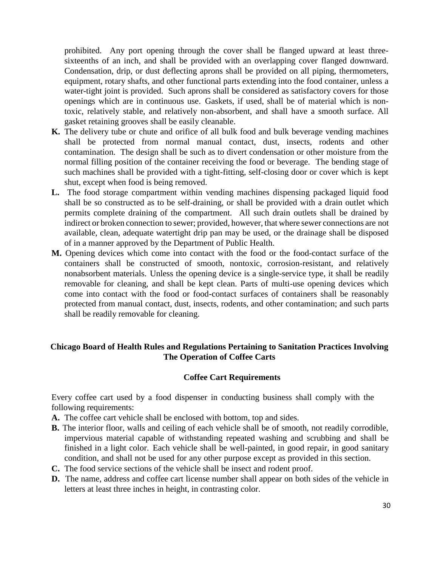prohibited. Any port opening through the cover shall be flanged upward at least threesixteenths of an inch, and shall be provided with an overlapping cover flanged downward. Condensation, drip, or dust deflecting aprons shall be provided on all piping, thermometers, equipment, rotary shafts, and other functional parts extending into the food container, unless a water-tight joint is provided. Such aprons shall be considered as satisfactory covers for those openings which are in continuous use. Gaskets, if used, shall be of material which is nontoxic, relatively stable, and relatively non-absorbent, and shall have a smooth surface. All gasket retaining grooves shall be easily cleanable.

- **K.** The delivery tube or chute and orifice of all bulk food and bulk beverage vending machines shall be protected from normal manual contact, dust, insects, rodents and other contamination. The design shall be such as to divert condensation or other moisture from the normal filling position of the container receiving the food or beverage. The bending stage of such machines shall be provided with a tight-fitting, self-closing door or cover which is kept shut, except when food is being removed.
- **L.** The food storage compartment within vending machines dispensing packaged liquid food shall be so constructed as to be self-draining, or shall be provided with a drain outlet which permits complete draining of the compartment. All such drain outlets shall be drained by indirect or broken connection to sewer; provided, however, that where sewer connections are not available, clean, adequate watertight drip pan may be used, or the drainage shall be disposed of in a manner approved by the Department of Public Health.
- **M.** Opening devices which come into contact with the food or the food-contact surface of the containers shall be constructed of smooth, nontoxic, corrosion-resistant, and relatively nonabsorbent materials. Unless the opening device is a single-service type, it shall be readily removable for cleaning, and shall be kept clean. Parts of multi-use opening devices which come into contact with the food or food-contact surfaces of containers shall be reasonably protected from manual contact, dust, insects, rodents, and other contamination; and such parts shall be readily removable for cleaning.

#### **Chicago Board of Health Rules and Regulations Pertaining to Sanitation Practices Involving The Operation of Coffee Carts**

#### **Coffee Cart Requirements**

Every coffee cart used by a food dispenser in conducting business shall comply with the following requirements:

- **A.** The coffee cart vehicle shall be enclosed with bottom, top and sides.
- **B.** The interior floor, walls and ceiling of each vehicle shall be of smooth, not readily corrodible, impervious material capable of withstanding repeated washing and scrubbing and shall be finished in a light color. Each vehicle shall be well-painted, in good repair, in good sanitary condition, and shall not be used for any other purpose except as provided in this section.
- **C.** The food service sections of the vehicle shall be insect and rodent proof.
- **D.** The name, address and coffee cart license number shall appear on both sides of the vehicle in letters at least three inches in height, in contrasting color.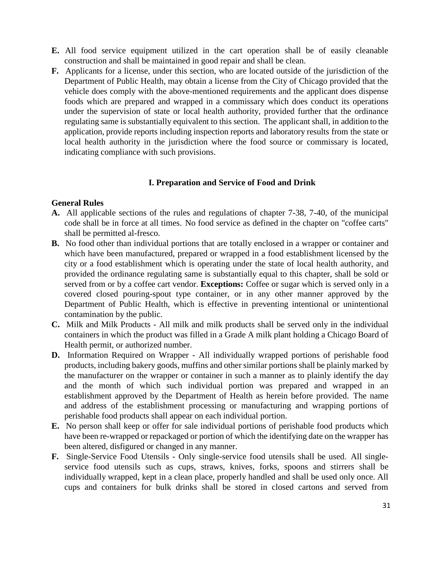- **E.** All food service equipment utilized in the cart operation shall be of easily cleanable construction and shall be maintained in good repair and shall be clean.
- **F.** Applicants for a license, under this section, who are located outside of the jurisdiction of the Department of Public Health, may obtain a license from the City of Chicago provided that the vehicle does comply with the above-mentioned requirements and the applicant does dispense foods which are prepared and wrapped in a commissary which does conduct its operations under the supervision of state or local health authority, provided further that the ordinance regulating same is substantially equivalent to this section. The applicant shall, in addition to the application, provide reports including inspection reports and laboratory results from the state or local health authority in the jurisdiction where the food source or commissary is located, indicating compliance with such provisions.

#### **I. Preparation and Service of Food and Drink**

#### **General Rules**

- **A.** All applicable sections of the rules and regulations of chapter 7-38, 7-40, of the municipal code shall be in force at all times. No food service as defined in the chapter on "coffee carts" shall be permitted al-fresco.
- **B.** No food other than individual portions that are totally enclosed in a wrapper or container and which have been manufactured, prepared or wrapped in a food establishment licensed by the city or a food establishment which is operating under the state of local health authority, and provided the ordinance regulating same is substantially equal to this chapter, shall be sold or served from or by a coffee cart vendor. **Exceptions:** Coffee or sugar which is served only in a covered closed pouring-spout type container, or in any other manner approved by the Department of Public Health, which is effective in preventing intentional or unintentional contamination by the public.
- **C.** Milk and Milk Products All milk and milk products shall be served only in the individual containers in which the product was filled in a Grade A milk plant holding a Chicago Board of Health permit, or authorized number.
- **D.** Information Required on Wrapper All individually wrapped portions of perishable food products, including bakery goods, muffins and other similar portions shall be plainly marked by the manufacturer on the wrapper or container in such a manner as to plainly identify the day and the month of which such individual portion was prepared and wrapped in an establishment approved by the Department of Health as herein before provided. The name and address of the establishment processing or manufacturing and wrapping portions of perishable food products shall appear on each individual portion.
- **E.** No person shall keep or offer for sale individual portions of perishable food products which have been re-wrapped or repackaged or portion of which the identifying date on the wrapper has been altered, disfigured or changed in any manner.
- **F.** Single-Service Food Utensils Only single-service food utensils shall be used. All singleservice food utensils such as cups, straws, knives, forks, spoons and stirrers shall be individually wrapped, kept in a clean place, properly handled and shall be used only once. All cups and containers for bulk drinks shall be stored in closed cartons and served from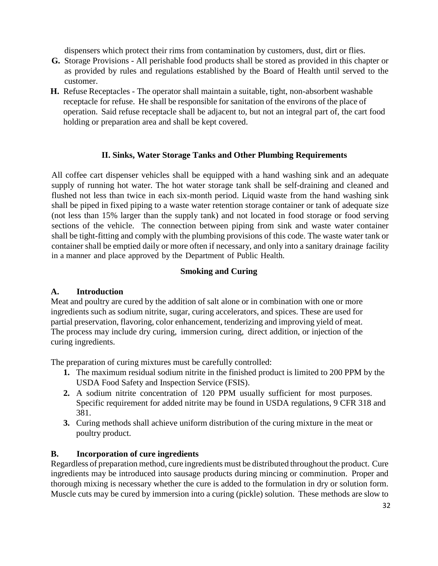dispensers which protect their rims from contamination by customers, dust, dirt or flies.

- **G.** Storage Provisions All perishable food products shall be stored as provided in this chapter or as provided by rules and regulations established by the Board of Health until served to the customer.
- **H.** Refuse Receptacles The operator shall maintain a suitable, tight, non-absorbent washable receptacle for refuse. He shall be responsible for sanitation of the environs of the place of operation. Said refuse receptacle shall be adjacent to, but not an integral part of, the cart food holding or preparation area and shall be kept covered.

# **II. Sinks, Water Storage Tanks and Other Plumbing Requirements**

All coffee cart dispenser vehicles shall be equipped with a hand washing sink and an adequate supply of running hot water. The hot water storage tank shall be self-draining and cleaned and flushed not less than twice in each six-month period. Liquid waste from the hand washing sink shall be piped in fixed piping to a waste water retention storage container or tank of adequate size (not less than 15% larger than the supply tank) and not located in food storage or food serving sections of the vehicle. The connection between piping from sink and waste water container shall be tight-fitting and comply with the plumbing provisions of this code. The waste water tank or container shall be emptied daily or more often if necessary, and only into a sanitary drainage facility in a manner and place approved by the Department of Public Health.

#### **Smoking and Curing**

#### **A. Introduction**

Meat and poultry are cured by the addition of salt alone or in combination with one or more ingredients such as sodium nitrite, sugar, curing accelerators, and spices. These are used for partial preservation, flavoring, color enhancement, tenderizing and improving yield of meat. The process may include dry curing, immersion curing, direct addition, or injection of the curing ingredients.

The preparation of curing mixtures must be carefully controlled:

- **1.** The maximum residual sodium nitrite in the finished product is limited to 200 PPM by the USDA Food Safety and Inspection Service (FSIS).
- **2.** A sodium nitrite concentration of 120 PPM usually sufficient for most purposes. Specific requirement for added nitrite may be found in USDA regulations, 9 CFR 318 and 381.
- **3.** Curing methods shall achieve uniform distribution of the curing mixture in the meat or poultry product.

#### **B. Incorporation of cure ingredients**

Regardless of preparation method, cure ingredients must be distributed throughout the product. Cure ingredients may be introduced into sausage products during mincing or comminution. Proper and thorough mixing is necessary whether the cure is added to the formulation in dry or solution form. Muscle cuts may be cured by immersion into a curing (pickle) solution. These methods are slow to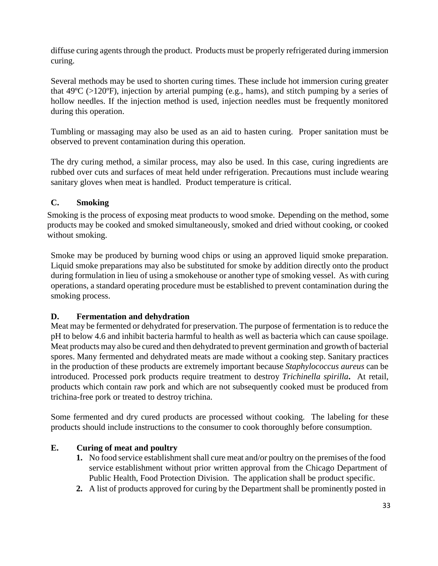diffuse curing agents through the product. Products must be properly refrigerated during immersion curing.

Several methods may be used to shorten curing times. These include hot immersion curing greater that  $49^{\circ}C$  ( $>120^{\circ}F$ ), injection by arterial pumping (e.g., hams), and stitch pumping by a series of hollow needles. If the injection method is used, injection needles must be frequently monitored during this operation.

Tumbling or massaging may also be used as an aid to hasten curing. Proper sanitation must be observed to prevent contamination during this operation.

The dry curing method, a similar process, may also be used. In this case, curing ingredients are rubbed over cuts and surfaces of meat held under refrigeration. Precautions must include wearing sanitary gloves when meat is handled. Product temperature is critical.

# **C. Smoking**

Smoking is the process of exposing meat products to wood smoke. Depending on the method, some products may be cooked and smoked simultaneously, smoked and dried without cooking, or cooked without smoking.

Smoke may be produced by burning wood chips or using an approved liquid smoke preparation. Liquid smoke preparations may also be substituted for smoke by addition directly onto the product during formulation in lieu of using a smokehouse or another type of smoking vessel. As with curing operations, a standard operating procedure must be established to prevent contamination during the smoking process.

# **D. Fermentation and dehydration**

Meat may be fermented or dehydrated for preservation. The purpose of fermentation is to reduce the pH to below 4.6 and inhibit bacteria harmful to health as well as bacteria which can cause spoilage. Meat products may also be cured and then dehydrated to prevent germination and growth of bacterial spores. Many fermented and dehydrated meats are made without a cooking step. Sanitary practices in the production of these products are extremely important because *Staphylococcus aureus* can be introduced. Processed pork products require treatment to destroy *Trichinella spirilla***.** At retail, products which contain raw pork and which are not subsequently cooked must be produced from trichina-free pork or treated to destroy trichina.

Some fermented and dry cured products are processed without cooking. The labeling for these products should include instructions to the consumer to cook thoroughly before consumption.

# **E. Curing of meat and poultry**

- **1.** No food service establishment shall cure meat and/or poultry on the premises of the food service establishment without prior written approval from the Chicago Department of Public Health, Food Protection Division. The application shall be product specific.
- **2.** A list of products approved for curing by the Department shall be prominently posted in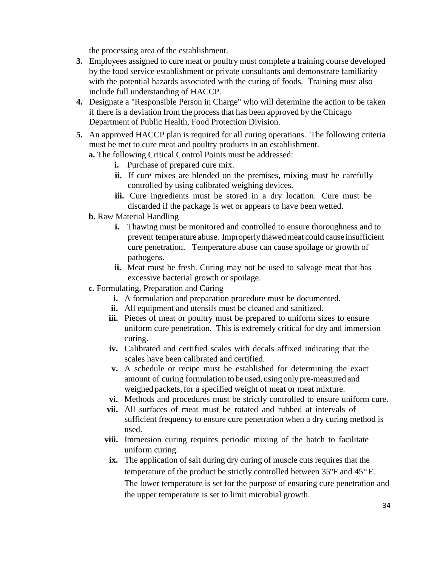the processing area of the establishment.

- **3.** Employees assigned to cure meat or poultry must complete a training course developed by the food service establishment or private consultants and demonstrate familiarity with the potential hazards associated with the curing of foods. Training must also include full understanding of HACCP.
- **4.** Designate a "Responsible Person in Charge" who will determine the action to be taken if there is a deviation from the process that has been approved by the Chicago Department of Public Health, Food Protection Division.
- **5.** An approved HACCP plan is required for all curing operations. The following criteria must be met to cure meat and poultry products in an establishment.
	- **a.** The following Critical Control Points must be addressed:
		- **i.** Purchase of prepared cure mix.
		- ii. If cure mixes are blended on the premises, mixing must be carefully controlled by using calibrated weighing devices.
		- **iii.** Cure ingredients must be stored in a dry location. Cure must be discarded if the package is wet or appears to have been wetted.
	- **b.** Raw Material Handling
		- **i.** Thawing must be monitored and controlled to ensure thoroughness and to prevent temperature abuse. Improperlythawedmeat could cause insufficient cure penetration. Temperature abuse can cause spoilage or growth of pathogens.
		- **ii.** Meat must be fresh. Curing may not be used to salvage meat that has excessive bacterial growth or spoilage.
	- **c.** Formulating, Preparation and Curing
		- **i.** A formulation and preparation procedure must be documented.
		- **ii.** All equipment and utensils must be cleaned and sanitized.
		- **iii.** Pieces of meat or poultry must be prepared to uniform sizes to ensure uniform cure penetration. This is extremely critical for dry and immersion curing.
		- **iv.** Calibrated and certified scales with decals affixed indicating that the scales have been calibrated and certified.
		- **v.** A schedule or recipe must be established for determining the exact amount of curing formulation to be used, using only pre-measured and weighed packets, for a specified weight of meat or meat mixture.
		- **vi.** Methods and procedures must be strictly controlled to ensure uniform cure.
		- **vii.** All surfaces of meat must be rotated and rubbed at intervals of sufficient frequency to ensure cure penetration when a dry curing method is used.
		- **viii.** Immersion curing requires periodic mixing of the batch to facilitate uniform curing.
		- **ix.** The application of salt during dry curing of muscle cuts requires that the temperature of the product be strictly controlled between 35ºF and 45ºF. The lower temperature is set for the purpose of ensuring cure penetration and the upper temperature is set to limit microbial growth.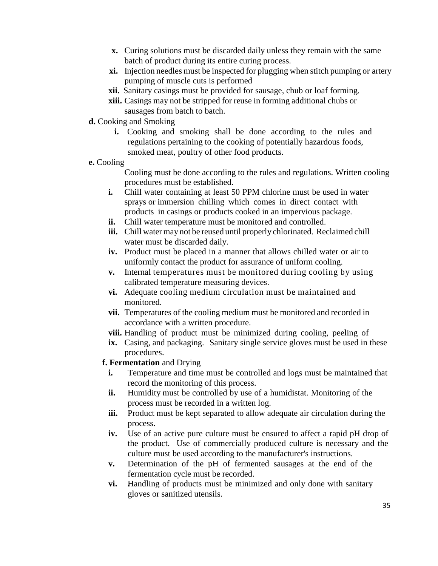- **x.** Curing solutions must be discarded daily unless they remain with the same batch of product during its entire curing process.
- **xi.** Injection needles must be inspected for plugging when stitch pumping or artery pumping of muscle cuts is performed
- **xii.** Sanitary casings must be provided for sausage, chub or loaf forming.
- **xiii.** Casings may not be stripped for reuse in forming additional chubs or sausages from batch to batch.
- **d.** Cooking and Smoking
	- **i.** Cooking and smoking shall be done according to the rules and regulations pertaining to the cooking of potentially hazardous foods, smoked meat, poultry of other food products.
- **e.** Cooling

Cooling must be done according to the rules and regulations. Written cooling procedures must be established.

- **i.** Chill water containing at least 50 PPM chlorine must be used in water sprays or immersion chilling which comes in direct contact with products in casings or products cooked in an impervious package.
- **ii.** Chill water temperature must be monitored and controlled.
- **iii.** Chill water may not be reused until properly chlorinated. Reclaimed chill water must be discarded daily.
- **iv.** Product must be placed in a manner that allows chilled water or air to uniformly contact the product for assurance of uniform cooling.
- **v.** Internal temperatures must be monitored during cooling by using calibrated temperature measuring devices.
- **vi.** Adequate cooling medium circulation must be maintained and monitored.
- **vii.** Temperatures of the cooling medium must be monitored and recorded in accordance with a written procedure.
- **viii.** Handling of product must be minimized during cooling, peeling of
- **ix.** Casing, and packaging. Sanitary single service gloves must be used in these procedures.
- **f. Fermentation** and Drying
	- **i.** Temperature and time must be controlled and logs must be maintained that record the monitoring of this process.
	- **ii.** Humidity must be controlled by use of a humidistat. Monitoring of the process must be recorded in a written log.
	- **iii.** Product must be kept separated to allow adequate air circulation during the process.
	- **iv.** Use of an active pure culture must be ensured to affect a rapid pH drop of the product. Use of commercially produced culture is necessary and the culture must be used according to the manufacturer's instructions.
	- **v.** Determination of the pH of fermented sausages at the end of the fermentation cycle must be recorded.
	- **vi.** Handling of products must be minimized and only done with sanitary gloves or sanitized utensils.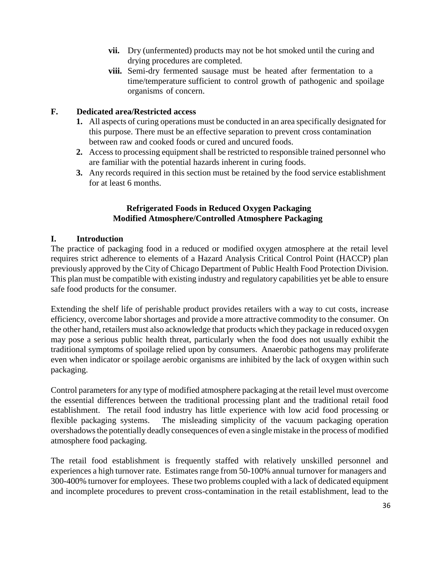- **vii.** Dry (unfermented) products may not be hot smoked until the curing and drying procedures are completed.
- **viii.** Semi-dry fermented sausage must be heated after fermentation to a time/temperature sufficient to control growth of pathogenic and spoilage organisms of concern.

# **F. Dedicated area/Restricted access**

- **1.** All aspects of curing operations must be conducted in an area specifically designated for this purpose. There must be an effective separation to prevent cross contamination between raw and cooked foods or cured and uncured foods.
- **2.** Access to processing equipment shall be restricted to responsible trained personnel who are familiar with the potential hazards inherent in curing foods.
- **3.** Any records required in this section must be retained by the food service establishment for at least 6 months.

# **Refrigerated Foods in Reduced Oxygen Packaging Modified Atmosphere/Controlled Atmosphere Packaging**

# **I. Introduction**

The practice of packaging food in a reduced or modified oxygen atmosphere at the retail level requires strict adherence to elements of a Hazard Analysis Critical Control Point (HACCP) plan previously approved by the City of Chicago Department of Public Health Food Protection Division. This plan must be compatible with existing industry and regulatory capabilities yet be able to ensure safe food products for the consumer.

Extending the shelf life of perishable product provides retailers with a way to cut costs, increase efficiency, overcome labor shortages and provide a more attractive commodity to the consumer. On the other hand, retailers must also acknowledge that products which they package in reduced oxygen may pose a serious public health threat, particularly when the food does not usually exhibit the traditional symptoms of spoilage relied upon by consumers. Anaerobic pathogens may proliferate even when indicator or spoilage aerobic organisms are inhibited by the lack of oxygen within such packaging.

Control parameters for any type of modified atmosphere packaging at the retail level must overcome the essential differences between the traditional processing plant and the traditional retail food establishment. The retail food industry has little experience with low acid food processing or flexible packaging systems. The misleading simplicity of the vacuum packaging operation overshadowsthe potentially deadly consequences of even a single mistake in the process of modified atmosphere food packaging.

The retail food establishment is frequently staffed with relatively unskilled personnel and experiences a high turnover rate. Estimates range from 50-100% annual turnover for managers and 300-400% turnover for employees. These two problems coupled with a lack of dedicated equipment and incomplete procedures to prevent cross-contamination in the retail establishment, lead to the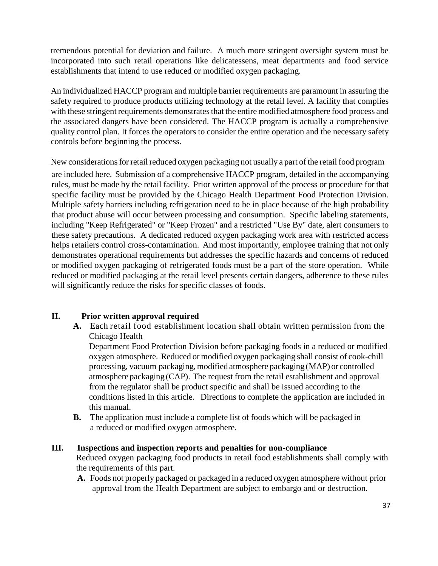tremendous potential for deviation and failure. A much more stringent oversight system must be incorporated into such retail operations like delicatessens, meat departments and food service establishments that intend to use reduced or modified oxygen packaging.

An individualized HACCP program and multiple barrier requirements are paramount in assuring the safety required to produce products utilizing technology at the retail level. A facility that complies with these stringent requirements demonstrates that the entire modified atmosphere food process and the associated dangers have been considered. The HACCP program is actually a comprehensive quality control plan. It forces the operators to consider the entire operation and the necessary safety controls before beginning the process.

New considerations for retail reduced oxygen packaging not usually a part of the retail food program

are included here. Submission of a comprehensive HACCP program, detailed in the accompanying rules, must be made by the retail facility. Prior written approval of the process or procedure for that specific facility must be provided by the Chicago Health Department Food Protection Division. Multiple safety barriers including refrigeration need to be in place because of the high probability that product abuse will occur between processing and consumption. Specific labeling statements, including "Keep Refrigerated" or "Keep Frozen" and a restricted "Use By" date, alert consumers to these safety precautions. A dedicated reduced oxygen packaging work area with restricted access helps retailers control cross-contamination. And most importantly, employee training that not only demonstrates operational requirements but addresses the specific hazards and concerns of reduced or modified oxygen packaging of refrigerated foods must be a part of the store operation. While reduced or modified packaging at the retail level presents certain dangers, adherence to these rules will significantly reduce the risks for specific classes of foods.

# **II. Prior written approval required**

**A.** Each retail food establishment location shall obtain written permission from the Chicago Health

Department Food Protection Division before packaging foods in a reduced or modified oxygen atmosphere. Reduced or modified oxygen packaging shall consist of cook-chill processing, vacuum packaging,modified atmosphere packaging (MAP) or controlled atmosphere packaging (CAP). The request from the retail establishment and approval from the regulator shall be product specific and shall be issued according to the conditions listed in this article. Directions to complete the application are included in this manual.

**B.** The application must include a complete list of foods which will be packaged in a reduced or modified oxygen atmosphere.

# **III. Inspections and inspection reports and penalties for non-compliance**

Reduced oxygen packaging food products in retail food establishments shall comply with the requirements of this part.

**A.** Foods not properly packaged or packaged in a reduced oxygen atmosphere without prior approval from the Health Department are subject to embargo and or destruction.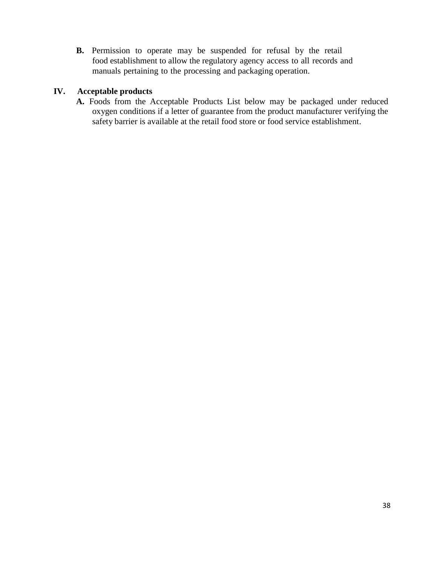**B.** Permission to operate may be suspended for refusal by the retail food establishment to allow the regulatory agency access to all records and manuals pertaining to the processing and packaging operation.

#### **IV. Acceptable products**

**A.** Foods from the Acceptable Products List below may be packaged under reduced oxygen conditions if a letter of guarantee from the product manufacturer verifying the safety barrier is available at the retail food store or food service establishment.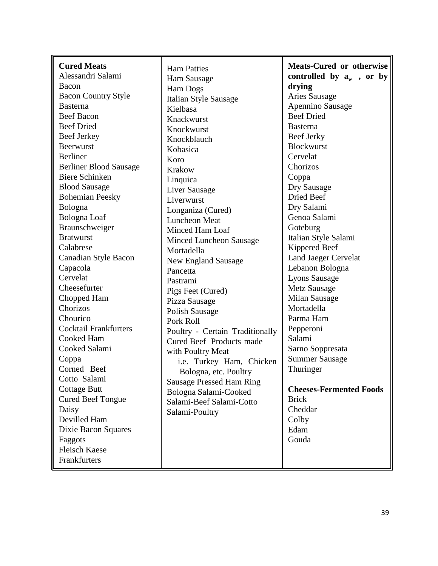| <b>Cured Meats</b><br>Alessandri Salami<br>Bacon<br><b>Bacon Country Style</b><br><b>Basterna</b><br><b>Beef Bacon</b><br><b>Beef Dried</b><br><b>Beef Jerkey</b><br><b>Beerwurst</b><br><b>Berliner</b><br><b>Berliner Blood Sausage</b><br><b>Biere Schinken</b><br><b>Blood Sausage</b><br><b>Bohemian Peesky</b><br>Bologna<br><b>Bologna</b> Loaf<br>Braunschweiger<br><b>Bratwurst</b><br>Calabrese<br>Canadian Style Bacon<br>Capacola<br>Cervelat<br>Cheesefurter<br>Chopped Ham<br>Chorizos<br>Chourico<br><b>Cocktail Frankfurters</b><br>Cooked Ham<br>Cooked Salami<br>Coppa<br>Corned Beef<br>Cotto Salami<br><b>Cottage Butt</b><br><b>Cured Beef Tongue</b><br>Daisy<br>Devilled Ham<br>Dixie Bacon Squares<br>Faggots<br><b>Fleisch Kaese</b> | <b>Ham Patties</b><br>Ham Sausage<br><b>Ham Dogs</b><br><b>Italian Style Sausage</b><br>Kielbasa<br>Knackwurst<br>Knockwurst<br>Knockblauch<br>Kobasica<br>Koro<br><b>Krakow</b><br>Linquica<br><b>Liver Sausage</b><br>Liverwurst<br>Longaniza (Cured)<br><b>Luncheon Meat</b><br>Minced Ham Loaf<br><b>Minced Luncheon Sausage</b><br>Mortadella<br>New England Sausage<br>Pancetta<br>Pastrami<br>Pigs Feet (Cured)<br>Pizza Sausage<br>Polish Sausage<br>Pork Roll<br>Poultry - Certain Traditionally<br>Cured Beef Products made<br>with Poultry Meat<br>i.e. Turkey Ham, Chicken<br>Bologna, etc. Poultry<br><b>Sausage Pressed Ham Ring</b><br>Bologna Salami-Cooked<br>Salami-Beef Salami-Cotto<br>Salami-Poultry | <b>Meats-Cured or otherwise</b><br>controlled by $a_w$ , or by<br>drying<br><b>Aries Sausage</b><br>Apennino Sausage<br><b>Beef Dried</b><br><b>Basterna</b><br>Beef Jerky<br><b>Blockwurst</b><br>Cervelat<br>Chorizos<br>Coppa<br>Dry Sausage<br>Dried Beef<br>Dry Salami<br>Genoa Salami<br>Goteburg<br>Italian Style Salami<br>Kippered Beef<br><b>Land Jaeger Cervelat</b><br>Lebanon Bologna<br><b>Lyons Sausage</b><br><b>Metz Sausage</b><br><b>Milan Sausage</b><br>Mortadella<br>Parma Ham<br>Pepperoni<br>Salami<br>Sarno Soppresata<br><b>Summer Sausage</b><br>Thuringer<br><b>Cheeses-Fermented Foods</b><br><b>Brick</b><br>Cheddar<br>Colby<br>Edam<br>Gouda |
|---------------------------------------------------------------------------------------------------------------------------------------------------------------------------------------------------------------------------------------------------------------------------------------------------------------------------------------------------------------------------------------------------------------------------------------------------------------------------------------------------------------------------------------------------------------------------------------------------------------------------------------------------------------------------------------------------------------------------------------------------------------|---------------------------------------------------------------------------------------------------------------------------------------------------------------------------------------------------------------------------------------------------------------------------------------------------------------------------------------------------------------------------------------------------------------------------------------------------------------------------------------------------------------------------------------------------------------------------------------------------------------------------------------------------------------------------------------------------------------------------|------------------------------------------------------------------------------------------------------------------------------------------------------------------------------------------------------------------------------------------------------------------------------------------------------------------------------------------------------------------------------------------------------------------------------------------------------------------------------------------------------------------------------------------------------------------------------------------------------------------------------------------------------------------------------|
| Frankfurters                                                                                                                                                                                                                                                                                                                                                                                                                                                                                                                                                                                                                                                                                                                                                  |                                                                                                                                                                                                                                                                                                                                                                                                                                                                                                                                                                                                                                                                                                                           |                                                                                                                                                                                                                                                                                                                                                                                                                                                                                                                                                                                                                                                                              |

 $\mathbf{r}$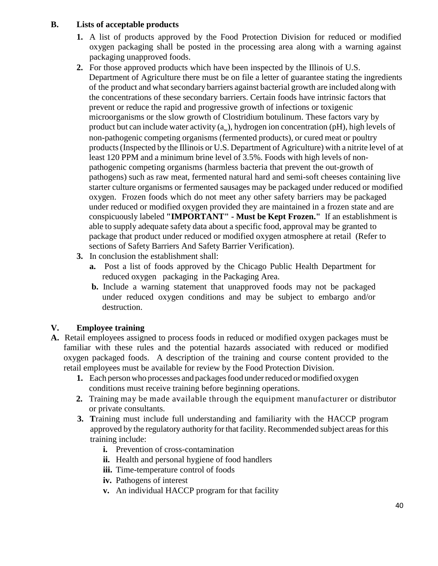## **B. Lists of acceptable products**

- **1.** A list of products approved by the Food Protection Division for reduced or modified oxygen packaging shall be posted in the processing area along with a warning against packaging unapproved foods.
- **2.** .For those approved products which have been inspected by the Illinois of U.S. Department of Agriculture there must be on file a letter of guarantee stating the ingredients of the product and what secondary barriers against bacterial growth are included along with the concentrations of these secondary barriers. Certain foods have intrinsic factors that prevent or reduce the rapid and progressive growth of infections or toxigenic microorganisms or the slow growth of Clostridium botulinum. These factors vary by product but can include water activity  $(a_w)$ , hydrogen ion concentration (pH), high levels of non-pathogenic competing organisms (fermented products), or cured meat or poultry products(Inspected by the Illinois or U.S. Department of Agriculture) with a nitrite level of at least 120 PPM and a minimum brine level of 3.5%. Foods with high levels of nonpathogenic competing organisms (harmless bacteria that prevent the out-growth of pathogens) such as raw meat, fermented natural hard and semi-soft cheeses containing live starter culture organisms or fermented sausages may be packaged under reduced or modified oxygen. Frozen foods which do not meet any other safety barriers may be packaged under reduced or modified oxygen provided they are maintained in a frozen state and are conspicuously labeled **"IMPORTANT" - Must be Kept Frozen."** If an establishment is able to supply adequate safety data about a specific food, approval may be granted to package that product under reduced or modified oxygen atmosphere at retail (Refer to sections of Safety Barriers And Safety Barrier Verification).
- **3.** In conclusion the establishment shall:
	- **a.** Post a list of foods approved by the Chicago Public Health Department for reduced oxygen packaging in the Packaging Area.
	- **b.** Include a warning statement that unapproved foods may not be packaged under reduced oxygen conditions and may be subject to embargo and/or destruction.

# **V. Employee training**

- **A.** Retail employees assigned to process foods in reduced or modified oxygen packages must be familiar with these rules and the potential hazards associated with reduced or modified oxygen packaged foods. A description of the training and course content provided to the retail employees must be available for review by the Food Protection Division.
	- **1.** Each person who processes and packages food under reduced or modified oxygen conditions must receive training before beginning operations.
	- **2.** Training may be made available through the equipment manufacturer or distributor or private consultants.
	- **3. T**raining must include full understanding and familiarity with the HACCP program approved by the regulatory authority for that facility. Recommended subject areas for this training include:
		- **i.** Prevention of cross-contamination
		- **ii.** Health and personal hygiene of food handlers
		- **iii.** Time-temperature control of foods
		- **iv.** Pathogens of interest
		- **v.** An individual HACCP program for that facility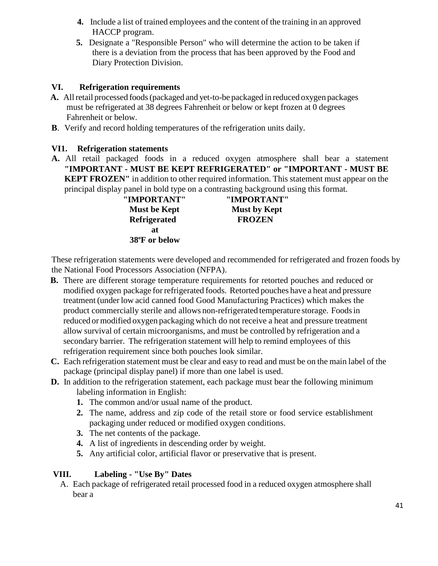- **4.** Include a list of trained employees and the content of the training in an approved HACCP program.
- **5.** Designate a "Responsible Person" who will determine the action to be taken if there is a deviation from the process that has been approved by the Food and Diary Protection Division.

# **VI. Refrigeration requirements**

- **A.** Allretail processed foods(packaged and yet-to-be packaged in reduced oxygen packages must be refrigerated at 38 degrees Fahrenheit or below or kept frozen at 0 degrees Fahrenheit or below.
- **B**. Verify and record holding temperatures of the refrigeration units daily.

# **VI1. Refrigeration statements**

**A.** All retail packaged foods in a reduced oxygen atmosphere shall bear a statement **"IMPORTANT - MUST BE KEPT REFRIGERATED" or "IMPORTANT - MUST BE KEPT FROZEN"** in addition to other required information. This statement must appear on the principal display panel in bold type on a contrasting background using this format.

| "IMPORTANT"                | "IMPORTANT"         |
|----------------------------|---------------------|
| <b>Must be Kept</b>        | <b>Must by Kept</b> |
| <b>Refrigerated</b>        | <b>FROZEN</b>       |
| яt                         |                     |
| 38 <sup>o</sup> F or below |                     |

These refrigeration statements were developed and recommended for refrigerated and frozen foods by the National Food Processors Association (NFPA).

- **B.** There are different storage temperature requirements for retorted pouches and reduced or modified oxygen package forrefrigerated foods. Retorted pouches have a heat and pressure treatment (under low acid canned food Good Manufacturing Practices) which makes the product commercially sterile and allows non-refrigerated temperature storage. Foodsin reduced ormodified oxygen packaging which do not receive a heat and pressure treatment allow survival of certain microorganisms, and must be controlled by refrigeration and a secondary barrier. The refrigeration statement will help to remind employees of this refrigeration requirement since both pouches look similar.
- **C.** Each refrigeration statement must be clear and easy to read and must be on the main label of the package (principal display panel) if more than one label is used.
- **D.** In addition to the refrigeration statement, each package must bear the following minimum labeling information in English:
	- **1.** The common and/or usual name of the product.
	- **2.** The name, address and zip code of the retail store or food service establishment packaging under reduced or modified oxygen conditions.
	- **3.** The net contents of the package.
	- **4.** A list of ingredients in descending order by weight.
	- **5.** Any artificial color, artificial flavor or preservative that is present.

#### **VIII. Labeling - "Use By" Dates**

A. Each package of refrigerated retail processed food in a reduced oxygen atmosphere shall bear a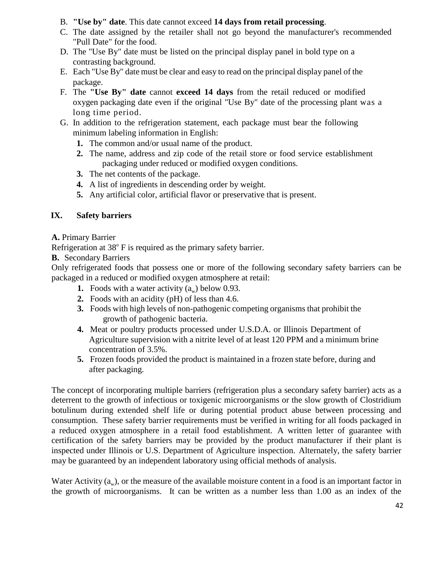- B. **"Use by" date**. This date cannot exceed **14 days from retail processing**.
- C. The date assigned by the retailer shall not go beyond the manufacturer's recommended "Pull Date" for the food.
- D. The "Use By" date must be listed on the principal display panel in bold type on a contrasting background.
- E. Each "Use By" date must be clear and easy to read on the principal display panel of the package.
- F. The **"Use By" date** cannot **exceed 14 days** from the retail reduced or modified oxygen packaging date even if the original "Use By" date of the processing plant was a long time period.
- G. In addition to the refrigeration statement, each package must bear the following minimum labeling information in English:
	- **1.** The common and/or usual name of the product.
	- **2.** The name, address and zip code of the retail store or food service establishment packaging under reduced or modified oxygen conditions.
	- **3.** The net contents of the package.
	- **4.** A list of ingredients in descending order by weight.
	- **5.** Any artificial color, artificial flavor or preservative that is present.

# **IX. Safety barriers**

#### **A.** Primary Barrier

Refrigeration at  $38^{\circ}$  F is required as the primary safety barrier.

**B.** Secondary Barriers

Only refrigerated foods that possess one or more of the following secondary safety barriers can be packaged in a reduced or modified oxygen atmosphere at retail:

- **1.** Foods with a water activity  $(a_w)$  below 0.93.
- **2.** Foods with an acidity (pH) of less than 4.6.
- **3.** Foods with high levels of non-pathogenic competing organisms that prohibit the growth of pathogenic bacteria.
- **4.** Meat or poultry products processed under U.S.D.A. or Illinois Department of Agriculture supervision with a nitrite level of at least 120 PPM and a minimum brine concentration of 3.5%.
- **5.** Frozen foods provided the product is maintained in a frozen state before, during and after packaging.

The concept of incorporating multiple barriers (refrigeration plus a secondary safety barrier) acts as a deterrent to the growth of infectious or toxigenic microorganisms or the slow growth of Clostridium botulinum during extended shelf life or during potential product abuse between processing and consumption. These safety barrier requirements must be verified in writing for all foods packaged in a reduced oxygen atmosphere in a retail food establishment. A written letter of guarantee with certification of the safety barriers may be provided by the product manufacturer if their plant is inspected under Illinois or U.S. Department of Agriculture inspection. Alternately, the safety barrier may be guaranteed by an independent laboratory using official methods of analysis.

Water Activity  $(a_w)$ , or the measure of the available moisture content in a food is an important factor in the growth of microorganisms. It can be written as a number less than 1.00 as an index of the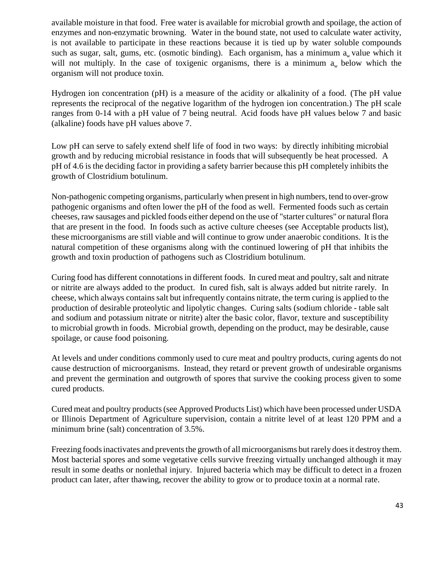available moisture in that food. Free water is available for microbial growth and spoilage, the action of enzymes and non-enzymatic browning. Water in the bound state, not used to calculate water activity, is not available to participate in these reactions because it is tied up by water soluble compounds such as sugar, salt, gums, etc. (osmotic binding). Each organism, has a minimum  $a_w$  value which it will not multiply. In the case of toxigenic organisms, there is a minimum  $a<sub>w</sub>$  below which the organism will not produce toxin.

Hydrogen ion concentration (pH) is a measure of the acidity or alkalinity of a food. (The pH value represents the reciprocal of the negative logarithm of the hydrogen ion concentration.) The pH scale ranges from 0-14 with a pH value of 7 being neutral. Acid foods have pH values below 7 and basic (alkaline) foods have pH values above 7.

Low pH can serve to safely extend shelf life of food in two ways: by directly inhibiting microbial growth and by reducing microbial resistance in foods that will subsequently be heat processed. A pH of 4.6 is the deciding factor in providing a safety barrier because this pH completely inhibits the growth of Clostridium botulinum.

Non-pathogenic competing organisms, particularly when present in high numbers, tend to over-grow pathogenic organisms and often lower the pH of the food as well. Fermented foods such as certain cheeses, raw sausages and pickled foods either depend on the use of "starter cultures" or natural flora that are present in the food. In foods such as active culture cheeses (see Acceptable products list), these microorganisms are still viable and will continue to grow under anaerobic conditions. It isthe natural competition of these organisms along with the continued lowering of pH that inhibits the growth and toxin production of pathogens such as Clostridium botulinum.

Curing food has different connotations in different foods. In cured meat and poultry, salt and nitrate or nitrite are always added to the product. In cured fish, salt is always added but nitrite rarely. In cheese, which always containssalt but infrequently contains nitrate, the term curing is applied to the production of desirable proteolytic and lipolytic changes. Curing salts (sodium chloride - table salt and sodium and potassium nitrate or nitrite) alter the basic color, flavor, texture and susceptibility to microbial growth in foods. Microbial growth, depending on the product, may be desirable, cause spoilage, or cause food poisoning.

At levels and under conditions commonly used to cure meat and poultry products, curing agents do not cause destruction of microorganisms. Instead, they retard or prevent growth of undesirable organisms and prevent the germination and outgrowth of spores that survive the cooking process given to some cured products.

Cured meat and poultry products(see Approved Products List) which have been processed under USDA or Illinois Department of Agriculture supervision, contain a nitrite level of at least 120 PPM and a minimum brine (salt) concentration of 3.5%.

Freezing foods inactivates and prevents the growth of all microorganisms but rarely does it destroy them. Most bacterial spores and some vegetative cells survive freezing virtually unchanged although it may result in some deaths or nonlethal injury. Injured bacteria which may be difficult to detect in a frozen product can later, after thawing, recover the ability to grow or to produce toxin at a normal rate.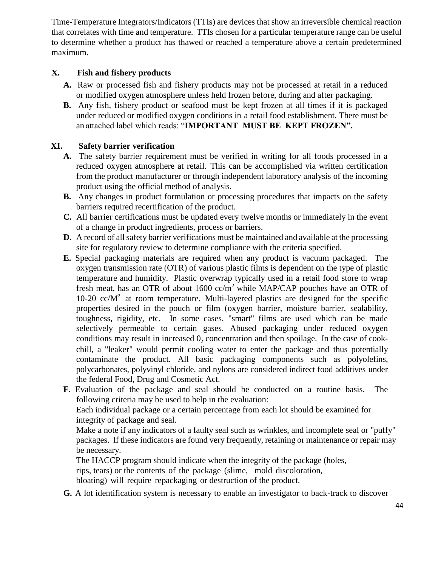Time-Temperature Integrators/Indicators (TTIs) are devices that show an irreversible chemical reaction that correlates with time and temperature. TTIs chosen for a particular temperature range can be useful to determine whether a product has thawed or reached a temperature above a certain predetermined maximum.

# **X. Fish and fishery products**

- **A.** Raw or processed fish and fishery products may not be processed at retail in a reduced or modified oxygen atmosphere unless held frozen before, during and after packaging.
- **B.** Any fish, fishery product or seafood must be kept frozen at all times if it is packaged under reduced or modified oxygen conditions in a retail food establishment. There must be an attached label which reads: "**IMPORTANT MUST BE KEPT FROZEN".**

# **XI. Safety barrier verification**

- **A.** The safety barrier requirement must be verified in writing for all foods processed in a reduced oxygen atmosphere at retail. This can be accomplished via written certification from the product manufacturer or through independent laboratory analysis of the incoming product using the official method of analysis.
- **B.** Any changes in product formulation or processing procedures that impacts on the safety barriers required recertification of the product.
- **C.** All barrier certifications must be updated every twelve months or immediately in the event of a change in product ingredients, process or barriers.
- **D.** A record of all safety barrier verifications must be maintained and available at the processing site for regulatory review to determine compliance with the criteria specified.
- **E.** Special packaging materials are required when any product is vacuum packaged. The oxygen transmission rate (OTR) of various plastic films is dependent on the type of plastic temperature and humidity. Plastic overwrap typically used in a retail food store to wrap fresh meat, has an OTR of about 1600  $cc/m^2$  while MAP/CAP pouches have an OTR of 10-20  $cc/M^2$  at room temperature. Multi-layered plastics are designed for the specific properties desired in the pouch or film (oxygen barrier, moisture barrier, sealability, toughness, rigidity, etc. In some cases, "smart" films are used which can be made selectively permeable to certain gases. Abused packaging under reduced oxygen conditions may result in increased  $0<sub>2</sub>$ , concentration and then spoilage. In the case of cookchill, a "leaker" would permit cooling water to enter the package and thus potentially contaminate the product. All basic packaging components such as polyolefins, polycarbonates, polyvinyl chloride, and nylons are considered indirect food additives under the federal Food, Drug and Cosmetic Act.
- **F.** Evaluation of the package and seal should be conducted on a routine basis. The following criteria may be used to help in the evaluation:

Each individual package or a certain percentage from each lot should be examined for integrity of package and seal.

Make a note if any indicators of a faulty seal such as wrinkles, and incomplete seal or "puffy" packages. If these indicators are found very frequently, retaining or maintenance or repair may be necessary.

The HACCP program should indicate when the integrity of the package (holes,

rips, tears) or the contents of the package (slime, mold discoloration,

bloating) will require repackaging or destruction of the product.

**G.** A lot identification system is necessary to enable an investigator to back-track to discover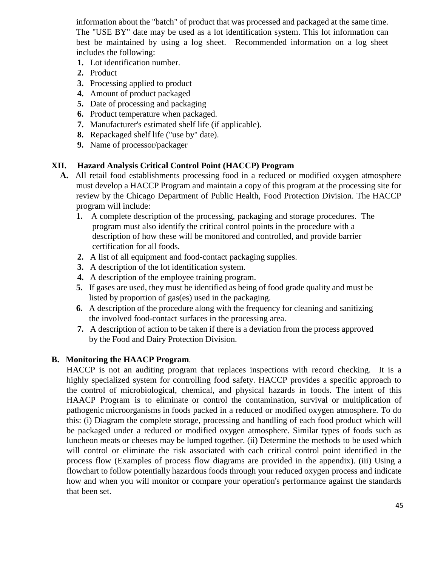information about the "batch" of product that was processed and packaged at the same time. The "USE BY" date may be used as a lot identification system. This lot information can best be maintained by using a log sheet. Recommended information on a log sheet includes the following:

- **1.** Lot identification number.
- **2.** Product
- **3.** Processing applied to product
- **4.** Amount of product packaged
- **5.** Date of processing and packaging
- **6.** Product temperature when packaged.
- **7.** Manufacturer's estimated shelf life (if applicable).
- **8.** Repackaged shelf life ("use by" date).
- **9.** Name of processor/packager

# **XII. Hazard Analysis Critical Control Point (HACCP) Program**

- **A.** All retail food establishments processing food in a reduced or modified oxygen atmosphere must develop a HACCP Program and maintain a copy of this program at the processing site for review by the Chicago Department of Public Health, Food Protection Division. The HACCP program will include:
	- **1.** A complete description of the processing, packaging and storage procedures. The program must also identify the critical control points in the procedure with a description of how these will be monitored and controlled, and provide barrier certification for all foods.
	- **2.** A list of all equipment and food-contact packaging supplies.
	- **3.** A description of the lot identification system.
	- **4.** A description of the employee training program.
	- **5.** If gases are used, they must be identified as being of food grade quality and must be listed by proportion of gas(es) used in the packaging.
	- **6.** A description of the procedure along with the frequency for cleaning and sanitizing the involved food-contact surfaces in the processing area.
	- **7.** A description of action to be taken if there is a deviation from the process approved by the Food and Dairy Protection Division.

#### **B. Monitoring the HAACP Program**.

HACCP is not an auditing program that replaces inspections with record checking. It is a highly specialized system for controlling food safety. HACCP provides a specific approach to the control of microbiological, chemical, and physical hazards in foods. The intent of this HAACP Program is to eliminate or control the contamination, survival or multiplication of pathogenic microorganisms in foods packed in a reduced or modified oxygen atmosphere. To do this: (i) Diagram the complete storage, processing and handling of each food product which will be packaged under a reduced or modified oxygen atmosphere. Similar types of foods such as luncheon meats or cheeses may be lumped together. (ii) Determine the methods to be used which will control or eliminate the risk associated with each critical control point identified in the process flow (Examples of process flow diagrams are provided in the appendix). (iii) Using a flowchart to follow potentially hazardous foods through your reduced oxygen process and indicate how and when you will monitor or compare your operation's performance against the standards that been set.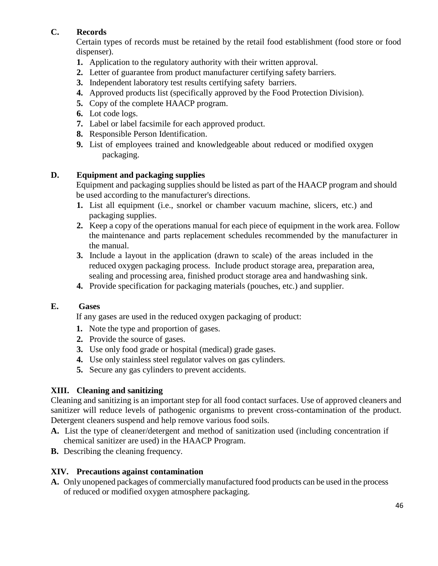# **C. Records**

Certain types of records must be retained by the retail food establishment (food store or food dispenser).

- **1.** Application to the regulatory authority with their written approval.
- **2.** Letter of guarantee from product manufacturer certifying safety barriers.
- **3.** Independent laboratory test results certifying safety barriers.
- **4.** Approved products list (specifically approved by the Food Protection Division).
- **5.** Copy of the complete HAACP program.
- **6.** Lot code logs.
- **7.** Label or label facsimile for each approved product.
- **8.** Responsible Person Identification.
- **9.** List of employees trained and knowledgeable about reduced or modified oxygen packaging.

# **D. Equipment and packaging supplies**

Equipment and packaging supplies should be listed as part of the HAACP program and should be used according to the manufacturer's directions.

- **1.** List all equipment (i.e., snorkel or chamber vacuum machine, slicers, etc.) and packaging supplies.
- **2.** Keep a copy of the operations manual for each piece of equipment in the work area. Follow the maintenance and parts replacement schedules recommended by the manufacturer in the manual.
- **3.** Include a layout in the application (drawn to scale) of the areas included in the reduced oxygen packaging process. Include product storage area, preparation area, sealing and processing area, finished product storage area and handwashing sink.
- **4.** Provide specification for packaging materials (pouches, etc.) and supplier.

# **E. Gases**

If any gases are used in the reduced oxygen packaging of product:

- **1.** Note the type and proportion of gases.
- **2.** Provide the source of gases.
- **3.** Use only food grade or hospital (medical) grade gases.
- **4.** Use only stainless steel regulator valves on gas cylinders.
- **5.** Secure any gas cylinders to prevent accidents.

# **XIII. Cleaning and sanitizing**

Cleaning and sanitizing is an important step for all food contact surfaces. Use of approved cleaners and sanitizer will reduce levels of pathogenic organisms to prevent cross-contamination of the product. Detergent cleaners suspend and help remove various food soils.

- **A.** List the type of cleaner/detergent and method of sanitization used (including concentration if chemical sanitizer are used) in the HAACP Program.
- **B.** Describing the cleaning frequency.

# **XIV. Precautions against contamination**

**A.** Only unopened packages of commerciallymanufactured food products can be used in the process of reduced or modified oxygen atmosphere packaging.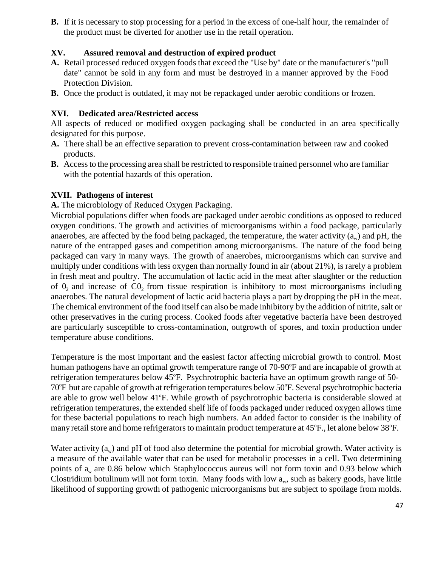**B.** If it is necessary to stop processing for a period in the excess of one-half hour, the remainder of the product must be diverted for another use in the retail operation.

# **XV. Assured removal and destruction of expired product**

- **A.** Retail processed reduced oxygen foods that exceed the "Use by" date or the manufacturer's "pull date" cannot be sold in any form and must be destroyed in a manner approved by the Food Protection Division.
- **B.** Once the product is outdated, it may not be repackaged under aerobic conditions or frozen.

# **XVI. Dedicated area/Restricted access**

All aspects of reduced or modified oxygen packaging shall be conducted in an area specifically designated for this purpose.

- **A.** There shall be an effective separation to prevent cross-contamination between raw and cooked products.
- **B.** Accessto the processing area shall be restricted to responsible trained personnel who are familiar with the potential hazards of this operation.

#### **XVII. Pathogens of interest**

**A.** The microbiology of Reduced Oxygen Packaging.

Microbial populations differ when foods are packaged under aerobic conditions as opposed to reduced oxygen conditions. The growth and activities of microorganisms within a food package, particularly anaerobes, are affected by the food being packaged, the temperature, the water activity  $(a_w)$  and pH, the nature of the entrapped gases and competition among microorganisms. The nature of the food being packaged can vary in many ways. The growth of anaerobes, microorganisms which can survive and multiply under conditions with less oxygen than normally found in air (about 21%), is rarely a problem in fresh meat and poultry. The accumulation of lactic acid in the meat after slaughter or the reduction of  $0_2$  and increase of  $CO_2$  from tissue respiration is inhibitory to most microorganisms including anaerobes. The natural development of lactic acid bacteria plays a part by dropping the pH in the meat. The chemical environment of the food itself can also be made inhibitory by the addition of nitrite, salt or other preservatives in the curing process. Cooked foods after vegetative bacteria have been destroyed are particularly susceptible to cross-contamination, outgrowth of spores, and toxin production under temperature abuse conditions.

Temperature is the most important and the easiest factor affecting microbial growth to control. Most human pathogens have an optimal growth temperature range of 70-90°F and are incapable of growth at refrigeration temperatures below 45°F. Psychrotrophic bacteria have an optimum growth range of 50-70°F but are capable of growth at refrigeration temperatures below 50°F. Several psychrotrophic bacteria are able to grow well below 41°F. While growth of psychrotrophic bacteria is considerable slowed at refrigeration temperatures, the extended shelf life of foods packaged under reduced oxygen allows time for these bacterial populations to reach high numbers. An added factor to consider is the inability of many retail store and home refrigerators to maintain product temperature at 45°F., let alone below 38°F.

Water activity  $(a_w)$  and pH of food also determine the potential for microbial growth. Water activity is a measure of the available water that can be used for metabolic processes in a cell. Two determining points of  $a_w$  are 0.86 below which Staphylococcus aureus will not form toxin and 0.93 below which Clostridium botulinum will not form toxin. Many foods with low  $a_w$ , such as bakery goods, have little likelihood of supporting growth of pathogenic microorganisms but are subject to spoilage from molds.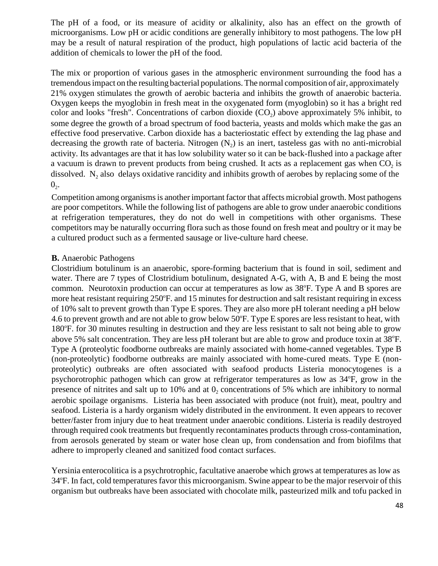The pH of a food, or its measure of acidity or alkalinity, also has an effect on the growth of microorganisms. Low pH or acidic conditions are generally inhibitory to most pathogens. The low pH may be a result of natural respiration of the product, high populations of lactic acid bacteria of the addition of chemicals to lower the pH of the food.

The mix or proportion of various gases in the atmospheric environment surrounding the food has a tremendousimpact on the resulting bacterial populations. The normal composition of air, approximately 21% oxygen stimulates the growth of aerobic bacteria and inhibits the growth of anaerobic bacteria. Oxygen keeps the myoglobin in fresh meat in the oxygenated form (myoglobin) so it has a bright red color and looks "fresh". Concentrations of carbon dioxide  $(CO_2)$  above approximately 5% inhibit, to some degree the growth of a broad spectrum of food bacteria, yeasts and molds which make the gas an effective food preservative. Carbon dioxide has a bacteriostatic effect by extending the lag phase and decreasing the growth rate of bacteria. Nitrogen  $(N_2)$  is an inert, tasteless gas with no anti-microbial activity. Its advantages are that it has low solubility water so it can be back-flushed into a package after a vacuum is drawn to prevent products from being crushed. It acts as a replacement gas when  $CO<sub>2</sub>$  is dissolved.  $N_2$  also delays oxidative rancidity and inhibits growth of aerobes by replacing some of the  $0<sub>2</sub>$ .

Competition among organismsis another important factor that affects microbial growth. Most pathogens are poor competitors. While the following list of pathogens are able to grow under anaerobic conditions at refrigeration temperatures, they do not do well in competitions with other organisms. These competitors may be naturally occurring flora such as those found on fresh meat and poultry or it may be a cultured product such as a fermented sausage or live-culture hard cheese.

#### **B.** Anaerobic Pathogens

Clostridium botulinum is an anaerobic, spore-forming bacterium that is found in soil, sediment and water. There are 7 types of Clostridium botulinum, designated A-G, with A, B and E being the most common. Neurotoxin production can occur at temperatures as low as 38°F. Type A and B spores are more heat resistant requiring 250°F. and 15 minutes for destruction and salt resistant requiring in excess of 10% salt to prevent growth than Type E spores. They are also more pH tolerant needing a pH below 4.6 to prevent growth and are not able to grow below 50°F. Type E spores are less resistant to heat, with 180°F. for 30 minutes resulting in destruction and they are less resistant to salt not being able to grow above 5% salt concentration. They are less pH tolerant but are able to grow and produce toxin at 38°F. Type A (proteolytic foodborne outbreaks are mainly associated with home-canned vegetables. Type B (non-proteolytic) foodborne outbreaks are mainly associated with home-cured meats. Type E (nonproteolytic) outbreaks are often associated with seafood products Listeria monocytogenes is a psychorotrophic pathogen which can grow at refrigerator temperatures as low as 34°F, grow in the presence of nitrites and salt up to 10% and at  $0<sub>2</sub>$  concentrations of 5% which are inhibitory to normal aerobic spoilage organisms. Listeria has been associated with produce (not fruit), meat, poultry and seafood. Listeria is a hardy organism widely distributed in the environment. It even appears to recover better/faster from injury due to heat treatment under anaerobic conditions. Listeria is readily destroyed through required cook treatments but frequently recontaminates products through cross-contamination, from aerosols generated by steam or water hose clean up, from condensation and from biofilms that adhere to improperly cleaned and sanitized food contact surfaces.

Yersinia enterocolitica is a psychrotrophic, facultative anaerobe which grows at temperatures as low as 34°F. In fact, cold temperatures favor this microorganism. Swine appear to be the major reservoir of this organism but outbreaks have been associated with chocolate milk, pasteurized milk and tofu packed in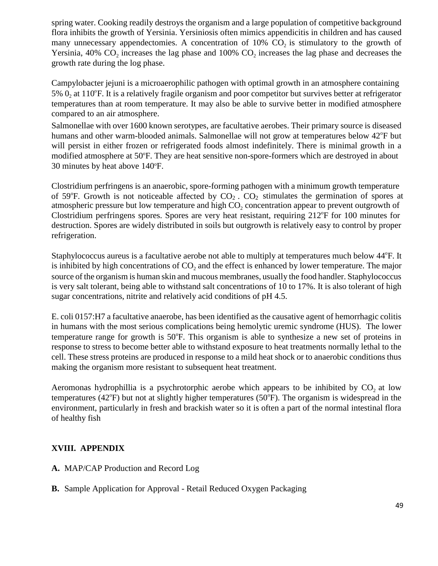spring water. Cooking readily destroys the organism and a large population of competitive background flora inhibits the growth of Yersinia. Yersiniosis often mimics appendicitis in children and has caused many unnecessary appendectomies. A concentration of  $10\%$  CO<sub>2</sub> is stimulatory to the growth of Yersinia, 40%  $CO<sub>2</sub>$  increases the lag phase and 100%  $CO<sub>2</sub>$  increases the lag phase and decreases the growth rate during the log phase.

5%  $0<sub>2</sub>$  at 110°F. It is a relatively fragile organism and poor competitor but survives better at refrigerator Campylobacter jejuni is a microaerophilic pathogen with optimal growth in an atmosphere containing temperatures than at room temperature. It may also be able to survive better in modified atmosphere compared to an air atmosphere.

Salmonellae with over 1600 known serotypes, are facultative aerobes. Their primary source is diseased humans and other warm-blooded animals. Salmonellae will not grow at temperatures below 42°F but will persist in either frozen or refrigerated foods almost indefinitely. There is minimal growth in a modified atmosphere at 50°F. They are heat sensitive non-spore-formers which are destroyed in about 30 minutes by heat above  $140^{\circ}$ F.

Clostridium perfringens is an anaerobic, spore-forming pathogen with a minimum growth temperature of 59°F. Growth is not noticeable affected by  $CO<sub>2</sub>$ .  $CO<sub>2</sub>$  stimulates the germination of spores at atmospheric pressure but low temperature and high  $CO<sub>2</sub>$  concentration appear to prevent outgrowth of Clostridium perfringens spores. Spores are very heat resistant, requiring 212°F for 100 minutes for destruction. Spores are widely distributed in soils but outgrowth is relatively easy to control by proper refrigeration.

Staphylococcus aureus is a facultative aerobe not able to multiply at temperatures much below 44°F. It is inhibited by high concentrations of  $CO<sub>2</sub>$  and the effect is enhanced by lower temperature. The major source of the organism is human skin and mucous membranes, usually the food handler. Staphylococcus is very salt tolerant, being able to withstand salt concentrations of 10 to 17%. It is also tolerant of high sugar concentrations, nitrite and relatively acid conditions of pH 4.5.

E. coli 0157:H7 a facultative anaerobe, has been identified as the causative agent of hemorrhagic colitis in humans with the most serious complications being hemolytic uremic syndrome (HUS). The lower temperature range for growth is 50°F. This organism is able to synthesize a new set of proteins in response to stress to become better able to withstand exposure to heat treatments normally lethal to the cell. These stress proteins are produced in response to a mild heat shock or to anaerobic conditions thus making the organism more resistant to subsequent heat treatment.

Aeromonas hydrophillia is a psychrotorphic aerobe which appears to be inhibited by  $CO<sub>2</sub>$  at low temperatures ( $42^{\circ}$ F) but not at slightly higher temperatures ( $50^{\circ}$ F). The organism is widespread in the environment, particularly in fresh and brackish water so it is often a part of the normal intestinal flora of healthy fish

# **XVIII. APPENDIX**

- **A.** MAP/CAP Production and Record Log
- **B.** Sample Application for Approval Retail Reduced Oxygen Packaging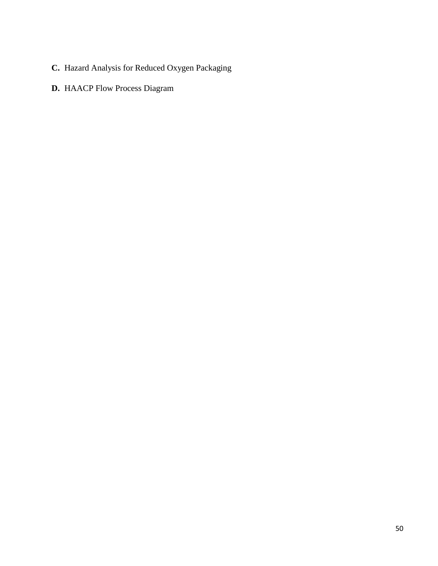- **C.** Hazard Analysis for Reduced Oxygen Packaging
- **D.** HAACP Flow Process Diagram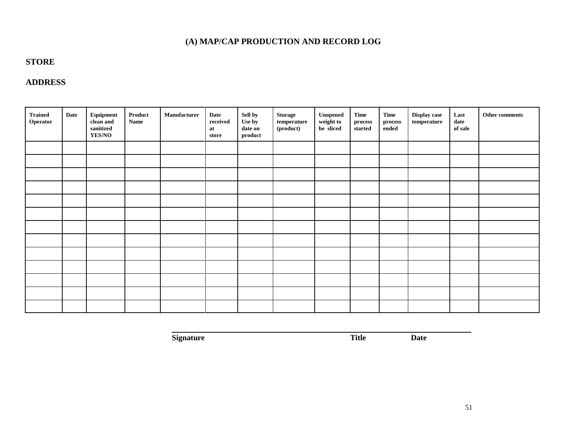# **(A) MAP/CAP PRODUCTION AND RECORD LOG**

# **STORE**

# **ADDRESS**

| <b>Trained</b><br>Operator | Date | Equipment<br>clean and<br>$\bf{sim}{\small\bf{t}}$<br><b>YES/NO</b> | $\bold{Product}$<br><b>Name</b> | Manufacturer | Date<br>received<br>at<br>store | Sell by<br>Use by<br>date on<br>product | Storage<br>$\bf temperature$<br>$(product)$ | $\bold{Un opened}$<br>weight to<br>be sliced | Time<br>$\bold{process}$<br>started | <b>Time</b><br>$\bold{process}$<br>ended | Display case<br>temperature | Last<br>date<br>of sale | Other comments |
|----------------------------|------|---------------------------------------------------------------------|---------------------------------|--------------|---------------------------------|-----------------------------------------|---------------------------------------------|----------------------------------------------|-------------------------------------|------------------------------------------|-----------------------------|-------------------------|----------------|
|                            |      |                                                                     |                                 |              |                                 |                                         |                                             |                                              |                                     |                                          |                             |                         |                |
|                            |      |                                                                     |                                 |              |                                 |                                         |                                             |                                              |                                     |                                          |                             |                         |                |
|                            |      |                                                                     |                                 |              |                                 |                                         |                                             |                                              |                                     |                                          |                             |                         |                |
|                            |      |                                                                     |                                 |              |                                 |                                         |                                             |                                              |                                     |                                          |                             |                         |                |
|                            |      |                                                                     |                                 |              |                                 |                                         |                                             |                                              |                                     |                                          |                             |                         |                |
|                            |      |                                                                     |                                 |              |                                 |                                         |                                             |                                              |                                     |                                          |                             |                         |                |
|                            |      |                                                                     |                                 |              |                                 |                                         |                                             |                                              |                                     |                                          |                             |                         |                |
|                            |      |                                                                     |                                 |              |                                 |                                         |                                             |                                              |                                     |                                          |                             |                         |                |
|                            |      |                                                                     |                                 |              |                                 |                                         |                                             |                                              |                                     |                                          |                             |                         |                |
|                            |      |                                                                     |                                 |              |                                 |                                         |                                             |                                              |                                     |                                          |                             |                         |                |
|                            |      |                                                                     |                                 |              |                                 |                                         |                                             |                                              |                                     |                                          |                             |                         |                |
|                            |      |                                                                     |                                 |              |                                 |                                         |                                             |                                              |                                     |                                          |                             |                         |                |
|                            |      |                                                                     |                                 |              |                                 |                                         |                                             |                                              |                                     |                                          |                             |                         |                |

**Signature Title Date**

51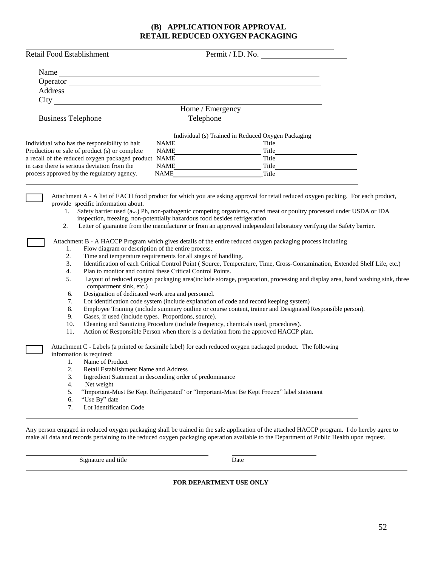#### **(B) APPLICATION FOR APPROVAL RETAIL REDUCED OXYGEN PACKAGING**

|                           | Retail Food Establishment                                                                      | Permit / I.D. No.                                                                                                                                                                                                                                                                                                                                                                                                                                            |
|---------------------------|------------------------------------------------------------------------------------------------|--------------------------------------------------------------------------------------------------------------------------------------------------------------------------------------------------------------------------------------------------------------------------------------------------------------------------------------------------------------------------------------------------------------------------------------------------------------|
|                           |                                                                                                | Name $\frac{1}{\sqrt{1-\frac{1}{2}}\left\vert \frac{1}{2}\right\vert }$                                                                                                                                                                                                                                                                                                                                                                                      |
|                           |                                                                                                | Operator                                                                                                                                                                                                                                                                                                                                                                                                                                                     |
|                           |                                                                                                | Address and the contract of the contract of the contract of the contract of the contract of the contract of the contract of the contract of the contract of the contract of the contract of the contract of the contract of th                                                                                                                                                                                                                               |
|                           |                                                                                                |                                                                                                                                                                                                                                                                                                                                                                                                                                                              |
|                           |                                                                                                | Home / Emergency                                                                                                                                                                                                                                                                                                                                                                                                                                             |
| <b>Business Telephone</b> |                                                                                                | Telephone                                                                                                                                                                                                                                                                                                                                                                                                                                                    |
|                           |                                                                                                |                                                                                                                                                                                                                                                                                                                                                                                                                                                              |
|                           |                                                                                                | Individual (s) Trained in Reduced Oxygen Packaging                                                                                                                                                                                                                                                                                                                                                                                                           |
|                           | Individual who has the responsibility to halt<br>Production or sale of product (s) or complete | <b>NAME</b><br><u> 1980 - Johann Barbara, martxa a</u><br>Title<br><b>NAME</b>                                                                                                                                                                                                                                                                                                                                                                               |
|                           | a recall of the reduced oxygen packaged product NAME                                           | Title                                                                                                                                                                                                                                                                                                                                                                                                                                                        |
|                           | in case there is serious deviation from the                                                    | Title <b>The Community of the Community</b> of the Community of the Community of the Community of the Community of the Community of the Community of the Community of the Community of the Community of the Community of the Commun<br>NAME                                                                                                                                                                                                                  |
|                           | process approved by the regulatory agency.                                                     | <b>NAME</b><br>Title                                                                                                                                                                                                                                                                                                                                                                                                                                         |
|                           |                                                                                                |                                                                                                                                                                                                                                                                                                                                                                                                                                                              |
| 1.<br>2.                  | provide specific information about.                                                            | Attachment A - A list of EACH food product for which you are asking approval for retail reduced oxygen packing. For each product,<br>Safety barrier used (aw.) Ph, non-pathogenic competing organisms, cured meat or poultry processed under USDA or IDA<br>inspection, freezing, non-potentially hazardous food besides refrigeration<br>Letter of guarantee from the manufacturer or from an approved independent laboratory verifying the Safety barrier. |
|                           |                                                                                                | Attachment B - A HACCP Program which gives details of the entire reduced oxygen packaging process including                                                                                                                                                                                                                                                                                                                                                  |
| 1.                        | Flow diagram or description of the entire process.                                             |                                                                                                                                                                                                                                                                                                                                                                                                                                                              |
| 2.                        |                                                                                                | Time and temperature requirements for all stages of handling.                                                                                                                                                                                                                                                                                                                                                                                                |
| 3.                        |                                                                                                | Identification of each Critical Control Point (Source, Temperature, Time, Cross-Contamination, Extended Shelf Life, etc.)                                                                                                                                                                                                                                                                                                                                    |
| 4.                        |                                                                                                | Plan to monitor and control these Critical Control Points.                                                                                                                                                                                                                                                                                                                                                                                                   |
| 5.                        | compartment sink, etc.)                                                                        | Layout of reduced oxygen packaging area(include storage, preparation, processing and display area, hand washing sink, three                                                                                                                                                                                                                                                                                                                                  |
| 6.                        | Designation of dedicated work area and personnel.                                              |                                                                                                                                                                                                                                                                                                                                                                                                                                                              |
| 7.                        |                                                                                                | Lot identification code system (include explanation of code and record keeping system)                                                                                                                                                                                                                                                                                                                                                                       |
| 8.<br>9.                  | Gases, if used (include types. Proportions, source).                                           | Employee Training (include summary outline or course content, trainer and Designated Responsible person).                                                                                                                                                                                                                                                                                                                                                    |
| 10.                       |                                                                                                | Cleaning and Sanitizing Procedure (include frequency, chemicals used, procedures).                                                                                                                                                                                                                                                                                                                                                                           |
| 11.                       |                                                                                                | Action of Responsible Person when there is a deviation from the approved HACCP plan.                                                                                                                                                                                                                                                                                                                                                                         |
|                           |                                                                                                |                                                                                                                                                                                                                                                                                                                                                                                                                                                              |
|                           | information is required:                                                                       | Attachment C - Labels (a printed or facsimile label) for each reduced oxygen packaged product. The following                                                                                                                                                                                                                                                                                                                                                 |
| 1.                        | Name of Product                                                                                |                                                                                                                                                                                                                                                                                                                                                                                                                                                              |
| 2.                        | Retail Establishment Name and Address                                                          |                                                                                                                                                                                                                                                                                                                                                                                                                                                              |
| 3.                        |                                                                                                | Ingredient Statement in descending order of predominance                                                                                                                                                                                                                                                                                                                                                                                                     |
| 4.                        | Net weight                                                                                     |                                                                                                                                                                                                                                                                                                                                                                                                                                                              |
| 5.                        |                                                                                                | "Important-Must Be Kept Refrigerated" or "Important-Must Be Kept Frozen" label statement                                                                                                                                                                                                                                                                                                                                                                     |
| 6.                        | "Use By" date                                                                                  |                                                                                                                                                                                                                                                                                                                                                                                                                                                              |
| 7.                        | Lot Identification Code                                                                        |                                                                                                                                                                                                                                                                                                                                                                                                                                                              |

Any person engaged in reduced oxygen packaging shall be trained in the safe application of the attached HACCP program. I do hereby agree to make all data and records pertaining to the reduced oxygen packaging operation available to the Department of Public Health upon request.

Signature and title Date

#### **FOR DEPARTMENT USE ONLY**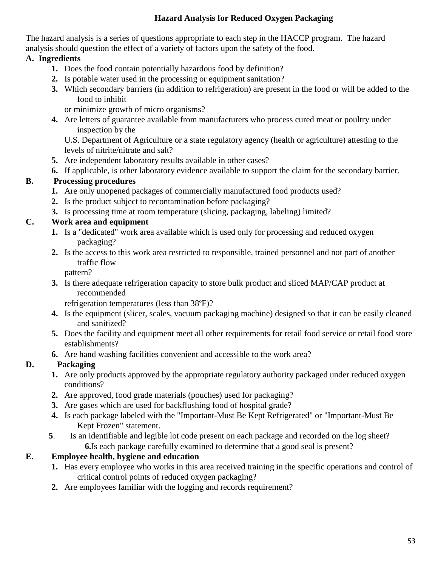# **Hazard Analysis for Reduced Oxygen Packaging**

The hazard analysis is a series of questions appropriate to each step in the HACCP program. The hazard analysis should question the effect of a variety of factors upon the safety of the food.

# **A. Ingredients**

- **1.** Does the food contain potentially hazardous food by definition?
- **2.** Is potable water used in the processing or equipment sanitation?
- **3.** Which secondary barriers (in addition to refrigeration) are present in the food or will be added to the food to inhibit

or minimize growth of micro organisms?

**4.** Are letters of guarantee available from manufacturers who process cured meat or poultry under inspection by the

U.S. Department of Agriculture or a state regulatory agency (health or agriculture) attesting to the levels of nitrite/nitrate and salt?

- **5.** Are independent laboratory results available in other cases?
- **6.** If applicable, is other laboratory evidence available to support the claim for the secondary barrier.

# **B. Processing procedures**

- **1.** Are only unopened packages of commercially manufactured food products used?
- **2.** Is the product subject to recontamination before packaging?
- **3.** Is processing time at room temperature (slicing, packaging, labeling) limited?

# **C. Work area and equipment**

- **1.** Is a "dedicated" work area available which is used only for processing and reduced oxygen packaging?
- **2.** Is the access to this work area restricted to responsible, trained personnel and not part of another traffic flow

pattern?

**3.** Is there adequate refrigeration capacity to store bulk product and sliced MAP/CAP product at recommended

refrigeration temperatures (less than 38°F)?

- **4.** Is the equipment (slicer, scales, vacuum packaging machine) designed so that it can be easily cleaned and sanitized?
- **5.** Does the facility and equipment meet all other requirements for retail food service or retail food store establishments?
- **6.** Are hand washing facilities convenient and accessible to the work area?

# **D. Packaging**

- **1.** Are only products approved by the appropriate regulatory authority packaged under reduced oxygen conditions?
- **2.** Are approved, food grade materials (pouches) used for packaging?
- **3.** Are gases which are used for backflushing food of hospital grade?
- **4.** Is each package labeled with the "Important-Must Be Kept Refrigerated" or "Important-Must Be Kept Frozen" statement.
- **5**. Is an identifiable and legible lot code present on each package and recorded on the log sheet? **6.**Is each package carefully examined to determine that a good seal is present?

# **E. Employee health, hygiene and education**

- **1.** Has every employee who works in this area received training in the specific operations and control of critical control points of reduced oxygen packaging?
- **2.** Are employees familiar with the logging and records requirement?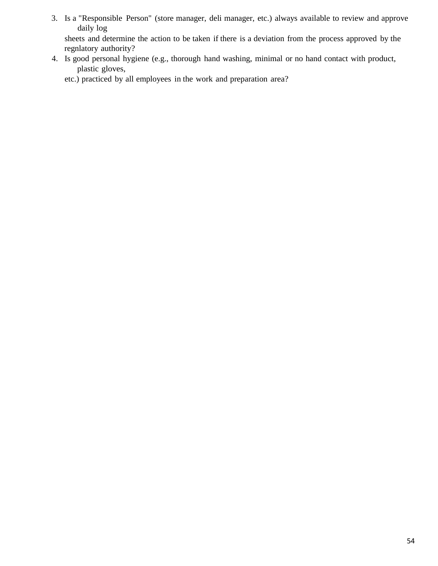3. Is a "Responsible Person" (store manager, deli manager, etc.) always available to review and approve daily log sheets and determine the action to be taken if there is a deviation from the process approved by the

regnlatory authority?

4. Is good personal hygiene (e.g., thorough hand washing, minimal or no hand contact with product, plastic gloves,

etc.) practiced by all employees in the work and preparation area?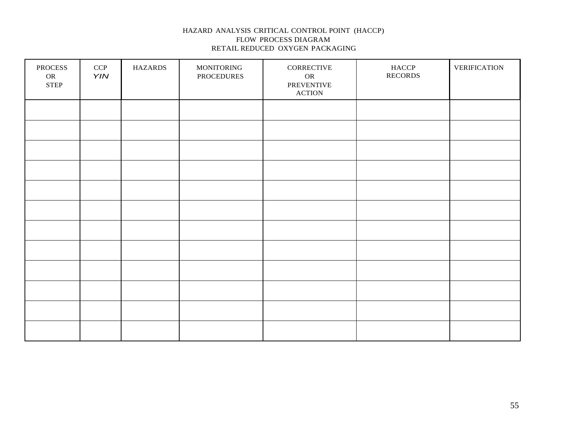#### HAZARD ANALYSIS CRITICAL CONTROL POINT (HACCP) FLOW PROCESS DIAGRAM RETAIL REDUCED OXYGEN PACKAGING

| PROCESS<br>OR<br>${\tt STEP}$ | CCP<br>YIN | <b>HAZARDS</b> | <b>MONITORING</b><br>PROCEDURES | CORRECTIVE<br><b>OR</b><br>PREVENTIVE<br><b>ACTION</b> | HACCP<br><b>RECORDS</b> | <b>VERIFICATION</b> |
|-------------------------------|------------|----------------|---------------------------------|--------------------------------------------------------|-------------------------|---------------------|
|                               |            |                |                                 |                                                        |                         |                     |
|                               |            |                |                                 |                                                        |                         |                     |
|                               |            |                |                                 |                                                        |                         |                     |
|                               |            |                |                                 |                                                        |                         |                     |
|                               |            |                |                                 |                                                        |                         |                     |
|                               |            |                |                                 |                                                        |                         |                     |
|                               |            |                |                                 |                                                        |                         |                     |
|                               |            |                |                                 |                                                        |                         |                     |
|                               |            |                |                                 |                                                        |                         |                     |
|                               |            |                |                                 |                                                        |                         |                     |
|                               |            |                |                                 |                                                        |                         |                     |
|                               |            |                |                                 |                                                        |                         |                     |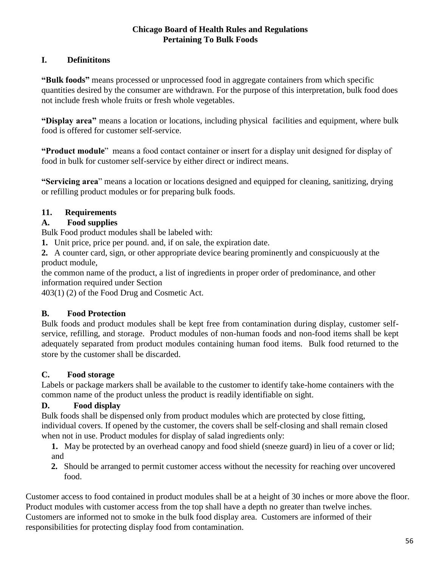# **Chicago Board of Health Rules and Regulations Pertaining To Bulk Foods**

# **I. Definititons**

**"Bulk foods"** means processed or unprocessed food in aggregate containers from which specific quantities desired by the consumer are withdrawn. For the purpose of this interpretation, bulk food does not include fresh whole fruits or fresh whole vegetables.

**"Display area"** means a location or locations, including physical facilities and equipment, where bulk food is offered for customer self-service.

**"Product module**" means a food contact container or insert for a display unit designed for display of food in bulk for customer self-service by either direct or indirect means.

**"Servicing area**" means a location or locations designed and equipped for cleaning, sanitizing, drying or refilling product modules or for preparing bulk foods.

# **11. Requirements**

# **A. Food supplies**

Bulk Food product modules shall be labeled with:

**1.** Unit price, price per pound. and, if on sale, the expiration date.

**2.** A counter card, sign, or other appropriate device bearing prominently and conspicuously at the product module,

the common name of the product, a list of ingredients in proper order of predominance, and other information required under Section

403(1) (2) of the Food Drug and Cosmetic Act.

# **B. Food Protection**

Bulk foods and product modules shall be kept free from contamination during display, customer selfservice, refilling, and storage. Product modules of non-human foods and non-food items shall be kept adequately separated from product modules containing human food items. Bulk food returned to the store by the customer shall be discarded.

# **C. Food storage**

Labels or package markers shall be available to the customer to identify take-home containers with the common name of the product unless the product is readily identifiable on sight.

# **D. Food display**

Bulk foods shall be dispensed only from product modules which are protected by close fitting, individual covers. If opened by the customer, the covers shall be self-closing and shall remain closed when not in use. Product modules for display of salad ingredients only:

**1.** May be protected by an overhead canopy and food shield (sneeze guard) in lieu of a cover or lid; and

**2.** Should be arranged to permit customer access without the necessity for reaching over uncovered food.

Customer access to food contained in product modules shall be at a height of 30 inches or more above the floor. Product modules with customer access from the top shall have a depth no greater than twelve inches. Customers are informed not to smoke in the bulk food display area. Customers are informed of their responsibilities for protecting display food from contamination.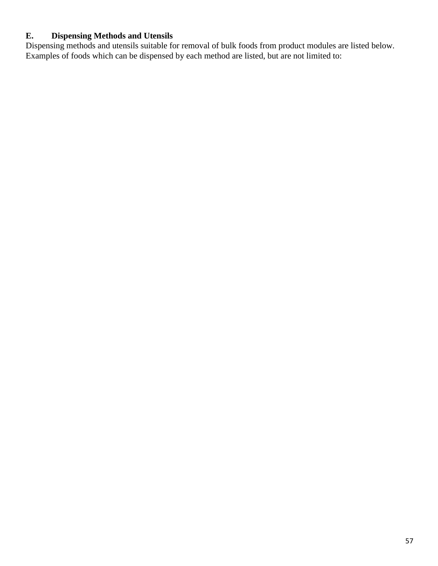# **E. Dispensing Methods and Utensils**

Dispensing methods and utensils suitable for removal of bulk foods from product modules are listed below. Examples of foods which can be dispensed by each method are listed, but are not limited to: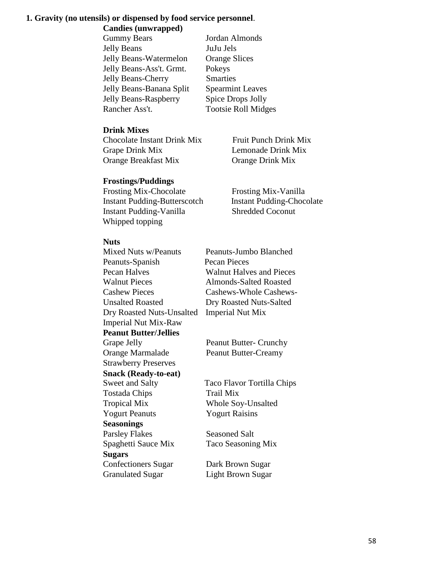# **1. Gravity (no utensils) or dispensed by food service personnel**.

**Candies (unwrapped)**

| <b>Gummy Bears</b>           | Jordan Almonds             |
|------------------------------|----------------------------|
| <b>Jelly Beans</b>           | JuJu Jels                  |
| Jelly Beans-Watermelon       | <b>Orange Slices</b>       |
| Jelly Beans-Ass't. Grmt.     | Pokeys                     |
| <b>Jelly Beans-Cherry</b>    | <b>Smarties</b>            |
| Jelly Beans-Banana Split     | <b>Spearmint Leaves</b>    |
| <b>Jelly Beans-Raspberry</b> | Spice Drops Jolly          |
| Rancher Ass't.               | <b>Tootsie Roll Midges</b> |
|                              |                            |

# **Drink Mixes**

Chocolate Instant Drink Mix Fruit Punch Drink Mix Grape Drink Mix Lemonade Drink Mix Orange Breakfast Mix Orange Drink Mix

# **Frostings/Puddings**

Frosting Mix-Chocolate Frosting Mix-Vanilla Instant Pudding-Butterscotch Instant Pudding-Chocolate Instant Pudding-Vanilla Shredded Coconut Whipped topping

# **Nuts**

Mixed Nuts w/Peanuts Peanuts-Jumbo Blanched Peanuts-Spanish Pecan Pieces Pecan Halves Walnut Halves and Pieces Walnut Pieces Almonds-Salted Roasted Cashew Pieces Cashews-Whole Cashews-Unsalted Roasted Dry Roasted Nuts-Salted Dry Roasted Nuts-Unsalted Imperial Nut Mix Imperial Nut Mix-Raw **Peanut Butter/Jellies** Grape Jelly Peanut Butter- Crunchy Orange Marmalade Peanut Butter-Creamy Strawberry Preserves **Snack (Ready-to-eat)** Sweet and Salty Taco Flavor Tortilla Chips Tostada Chips Trail Mix Tropical Mix Whole Soy-Unsalted Yogurt Peanuts Yogurt Raisins **Seasonings**

Parsley Flakes Seasoned Salt Spaghetti Sauce Mix Taco Seasoning Mix **Sugars** Confectioners Sugar Dark Brown Sugar

Granulated Sugar Light Brown Sugar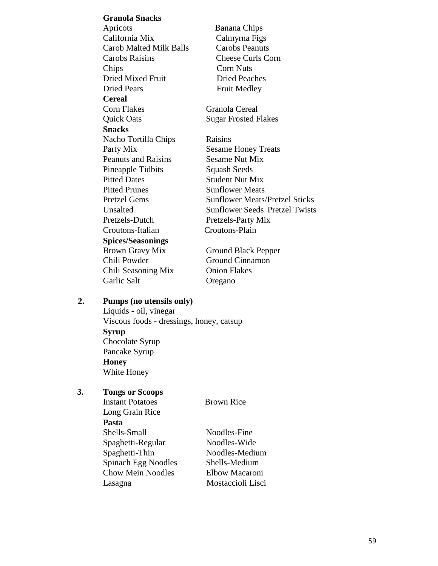**Granola Snacks** Apricots Banana Chips California Mix Calmyrna Figs Carob Malted Milk Balls Carobs Peanuts Carobs Raisins Cheese Curls Corn Chips Corn Nuts Dried Mixed Fruit Dried Peaches Dried Pears Fruit Medley **Cereal** Corn Flakes Granola Cereal Quick Oats Sugar Frosted Flakes **Snacks** Nacho Tortilla Chips Raisins Party Mix Sesame Honey Treats Peanuts and Raisins Sesame Nut Mix Pineapple Tidbits Squash Seeds Pitted Dates Student Nut Mix Pitted Prunes Sunflower Meats Pretzel Gems Sunflower Meats/Pretzel Sticks Unsalted Sunflower Seeds Pretzel Twists Pretzels-Dutch Pretzels-Party Mix Croutons-Italian Croutons-Plain **Spices/Seasonings** Brown Gravy Mix Ground Black Pepper Chili Powder Ground Cinnamon Chili Seasoning Mix Onion Flakes Garlic Salt **Oregano** 

#### **2. Pumps (no utensils only)**

Liquids - oil, vinegar Viscous foods - dressings, honey, catsup **Syrup** Chocolate Syrup Pancake Syrup **Honey** White Honey

#### **3. Tongs or Scoops**

**Instant Potatoes** Brown Rice Long Grain Rice **Pasta** Shells-Small Noodles-Fine

Spaghetti-Regular Noodles-Wide Spaghetti-Thin Noodles-Medium Spinach Egg Noodles Shells-Medium Chow Mein Noodles Elbow Macaroni Lasagna Mostaccioli Lisci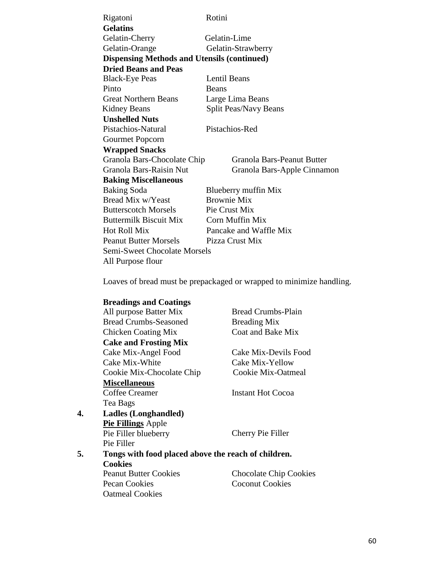| Rigatoni                                           | Rotini                            |
|----------------------------------------------------|-----------------------------------|
| <b>Gelatins</b>                                    |                                   |
| Gelatin-Cherry                                     | Gelatin-Lime                      |
| Gelatin-Orange                                     | Gelatin-Strawberry                |
| <b>Dispensing Methods and Utensils (continued)</b> |                                   |
| <b>Dried Beans and Peas</b>                        |                                   |
| <b>Black-Eye Peas</b>                              | Lentil Beans                      |
| Pinto                                              | <b>Beans</b>                      |
| <b>Great Northern Beans</b>                        | Large Lima Beans                  |
| <b>Kidney Beans</b>                                | Split Peas/Navy Beans             |
| <b>Unshelled Nuts</b>                              |                                   |
| Pistachios-Natural                                 | Pistachios-Red                    |
| <b>Gourmet Popcorn</b>                             |                                   |
| <b>Wrapped Snacks</b>                              |                                   |
| Granola Bars-Chocolate Chip                        | <b>Granola Bars-Peanut Butter</b> |
| Granola Bars-Raisin Nut                            | Granola Bars-Apple Cinnamon       |
| <b>Baking Miscellaneous</b>                        |                                   |
| <b>Baking Soda</b>                                 | Blueberry muffin Mix              |
| Bread Mix w/Yeast                                  | <b>Brownie Mix</b>                |
| <b>Butterscotch Morsels</b>                        | Pie Crust Mix                     |
| <b>Buttermilk Biscuit Mix</b>                      | Corn Muffin Mix                   |
| <b>Hot Roll Mix</b>                                | Pancake and Waffle Mix            |
| <b>Peanut Butter Morsels</b>                       | Pizza Crust Mix                   |
| Semi-Sweet Chocolate Morsels                       |                                   |
| All Purpose flour                                  |                                   |

Loaves of bread must be prepackaged or wrapped to minimize handling.

# **Breadings and Coatings**

|    | All purpose Batter Mix                              | <b>Bread Crumbs-Plain</b>     |
|----|-----------------------------------------------------|-------------------------------|
|    | <b>Bread Crumbs-Seasoned</b>                        | <b>Breading Mix</b>           |
|    | <b>Chicken Coating Mix</b>                          | Coat and Bake Mix             |
|    | <b>Cake and Frosting Mix</b>                        |                               |
|    | Cake Mix-Angel Food                                 | Cake Mix-Devils Food          |
|    | Cake Mix-White                                      | Cake Mix-Yellow               |
|    | Cookie Mix-Chocolate Chip                           | Cookie Mix-Oatmeal            |
|    | <b>Miscellaneous</b>                                |                               |
|    | Coffee Creamer                                      | <b>Instant Hot Cocoa</b>      |
|    | Tea Bags                                            |                               |
| 4. | Ladles (Longhandled)                                |                               |
|    | <b>Pie Fillings</b> Apple                           |                               |
|    | Pie Filler blueberry                                | Cherry Pie Filler             |
|    | Pie Filler                                          |                               |
| 5. | Tongs with food placed above the reach of children. |                               |
|    | <b>Cookies</b>                                      |                               |
|    | <b>Peanut Butter Cookies</b>                        | <b>Chocolate Chip Cookies</b> |
|    | Pecan Cookies                                       | <b>Coconut Cookies</b>        |
|    | <b>Oatmeal Cookies</b>                              |                               |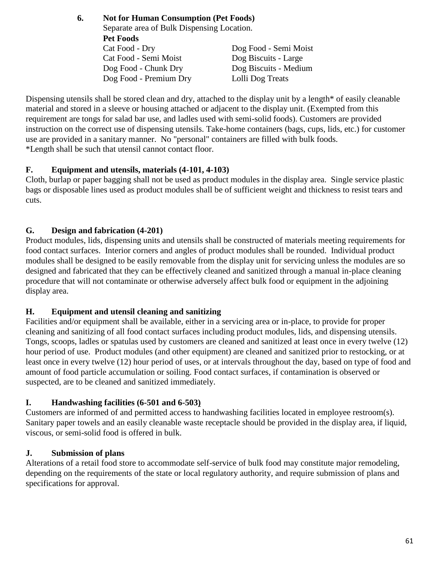**6. Not for Human Consumption (Pet Foods)**  Separate area of Bulk Dispensing Location. **Pet Foods** Cat Food - Dry Dog Food - Semi Moist Cat Food - Semi Moist Dog Biscuits - Large Dog Food - Chunk Dry Dog Biscuits - Medium Dog Food - Premium Dry Lolli Dog Treats

Dispensing utensils shall be stored clean and dry, attached to the display unit by a length<sup>\*</sup> of easily cleanable material and stored in a sleeve or housing attached or adjacent to the display unit. (Exempted from this requirement are tongs for salad bar use, and ladles used with semi-solid foods). Customers are provided instruction on the correct use of dispensing utensils. Take-home containers (bags, cups, lids, etc.) for customer use are provided in a sanitary manner. No "personal" containers are filled with bulk foods. \*Length shall be such that utensil cannot contact floor.

# **F. Equipment and utensils, materials (4-101, 4-103)**

Cloth, burlap or paper bagging shall not be used as product modules in the display area. Single service plastic bags or disposable lines used as product modules shall be of sufficient weight and thickness to resist tears and cuts.

# **G. Design and fabrication (4-201)**

Product modules, lids, dispensing units and utensils shall be constructed of materials meeting requirements for food contact surfaces. Interior corners and angles of product modules shall be rounded. Individual product modules shall be designed to be easily removable from the display unit for servicing unless the modules are so designed and fabricated that they can be effectively cleaned and sanitized through a manual in-place cleaning procedure that will not contaminate or otherwise adversely affect bulk food or equipment in the adjoining display area.

# **H. Equipment and utensil cleaning and sanitizing**

Facilities and/or equipment shall be available, either in a servicing area or in-place, to provide for proper cleaning and sanitizing of all food contact surfaces including product modules, lids, and dispensing utensils. Tongs, scoops, ladles or spatulas used by customers are cleaned and sanitized at least once in every twelve (12) hour period of use. Product modules (and other equipment) are cleaned and sanitized prior to restocking, or at least once in every twelve (12) hour period of uses, or at intervals throughout the day, based on type of food and amount of food particle accumulation or soiling. Food contact surfaces, if contamination is observed or suspected, are to be cleaned and sanitized immediately.

# **I. Handwashing facilities (6-501 and 6-503)**

Customers are informed of and permitted access to handwashing facilities located in employee restroom(s). Sanitary paper towels and an easily cleanable waste receptacle should be provided in the display area, if liquid, viscous, or semi-solid food is offered in bulk.

# **J. Submission of plans**

Alterations of a retail food store to accommodate self-service of bulk food may constitute major remodeling, depending on the requirements of the state or local regulatory authority, and require submission of plans and specifications for approval.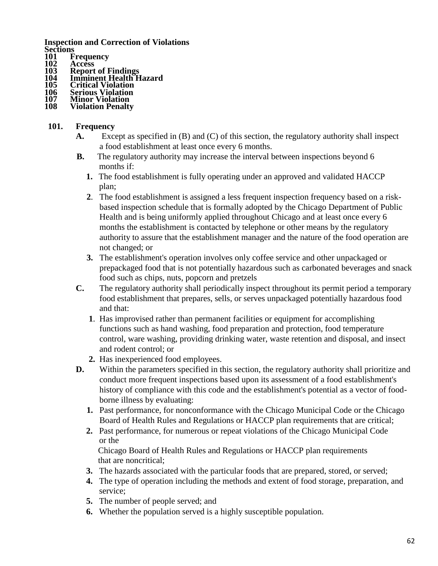**Inspection and Correction of Violations** Sections<br>101 F<br>102 A

- **Frequency**
- **102 Access**
- **103 Report of Findings**
- **104 Imminent Health Hazard**
- **105 Critical Violation**
- **106 Serious Violation 107 Minor Violation**
- **Violation Penalty**

#### **101. Frequency**

- **A.** Except as specified in (B) and (C) of this section, the regulatory authority shall inspect a food establishment at least once every 6 months.
- **B.** The regulatory authority may increase the interval between inspections beyond 6 months if:
	- **1.** The food establishment is fully operating under an approved and validated HACCP plan;
	- **2**. The food establishment is assigned a less frequent inspection frequency based on a riskbased inspection schedule that is formally adopted by the Chicago Department of Public Health and is being uniformly applied throughout Chicago and at least once every 6 months the establishment is contacted by telephone or other means by the regulatory authority to assure that the establishment manager and the nature of the food operation are not changed; or
	- **3.** The establishment's operation involves only coffee service and other unpackaged or prepackaged food that is not potentially hazardous such as carbonated beverages and snack food such as chips, nuts, popcorn and pretzels
- **C.** The regulatory authority shall periodically inspect throughout its permit period a temporary food establishment that prepares, sells, or serves unpackaged potentially hazardous food and that:
	- **1**. Has improvised rather than permanent facilities or equipment for accomplishing functions such as hand washing, food preparation and protection, food temperature control, ware washing, providing drinking water, waste retention and disposal, and insect and rodent control; or
	- **2.** Has inexperienced food employees.
- **D.** Within the parameters specified in this section, the regulatory authority shall prioritize and conduct more frequent inspections based upon its assessment of a food establishment's history of compliance with this code and the establishment's potential as a vector of foodborne illness by evaluating:
	- **1.** Past performance, for nonconformance with the Chicago Municipal Code or the Chicago Board of Health Rules and Regulations or HACCP plan requirements that are critical;
	- **2.** Past performance, for numerous or repeat violations of the Chicago Municipal Code or the

Chicago Board of Health Rules and Regulations or HACCP plan requirements that are noncritical;

- **3.** The hazards associated with the particular foods that are prepared, stored, or served;
- **4.** The type of operation including the methods and extent of food storage, preparation, and service;
- **5.** The number of people served; and
- **6.** Whether the population served is a highly susceptible population.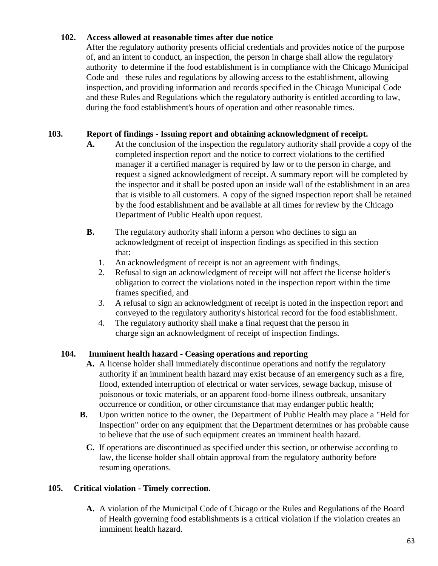# **102. Access allowed at reasonable times after due notice**

After the regulatory authority presents official credentials and provides notice of the purpose of, and an intent to conduct, an inspection, the person in charge shall allow the regulatory authority to determine if the food establishment is in compliance with the Chicago Municipal Code and these rules and regulations by allowing access to the establishment, allowing inspection, and providing information and records specified in the Chicago Municipal Code and these Rules and Regulations which the regulatory authority is entitled according to law, during the food establishment's hours of operation and other reasonable times.

# **103. Report of findings - Issuing report and obtaining acknowledgment of receipt.**

- **A.** At the conclusion of the inspection the regulatory authority shall provide a copy of the completed inspection report and the notice to correct violations to the certified manager if a certified manager is required by law or to the person in charge, and request a signed acknowledgment of receipt. A summary report will be completed by the inspector and it shall be posted upon an inside wall of the establishment in an area that is visible to all customers. A copy of the signed inspection report shall be retained by the food establishment and be available at all times for review by the Chicago Department of Public Health upon request.
- **B.** The regulatory authority shall inform a person who declines to sign an acknowledgment of receipt of inspection findings as specified in this section that:
	- 1. An acknowledgment of receipt is not an agreement with findings,
	- 2. Refusal to sign an acknowledgment of receipt will not affect the license holder's obligation to correct the violations noted in the inspection report within the time frames specified, and
	- 3. A refusal to sign an acknowledgment of receipt is noted in the inspection report and conveyed to the regulatory authority's historical record for the food establishment.
	- 4. The regulatory authority shall make a final request that the person in charge sign an acknowledgment of receipt of inspection findings.

# **104. Imminent health hazard - Ceasing operations and reporting**

- **A.** A license holder shall immediately discontinue operations and notify the regulatory authority if an imminent health hazard may exist because of an emergency such as a fire, flood, extended interruption of electrical or water services, sewage backup, misuse of poisonous or toxic materials, or an apparent food-borne illness outbreak, unsanitary occurrence or condition, or other circumstance that may endanger public health;
- **B.** Upon written notice to the owner, the Department of Public Health may place a "Held for Inspection" order on any equipment that the Department determines or has probable cause to believe that the use of such equipment creates an imminent health hazard.
	- **C.** If operations are discontinued as specified under this section, or otherwise according to law, the license holder shall obtain approval from the regulatory authority before resuming operations.

#### **105. Critical violation - Timely correction.**

**A.** A violation of the Municipal Code of Chicago or the Rules and Regulations of the Board of Health governing food establishments is a critical violation if the violation creates an imminent health hazard.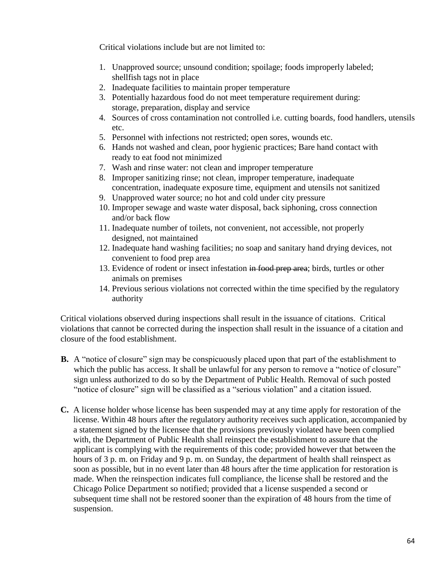Critical violations include but are not limited to:

- 1. Unapproved source; unsound condition; spoilage; foods improperly labeled; shellfish tags not in place
- 2. Inadequate facilities to maintain proper temperature
- 3. Potentially hazardous food do not meet temperature requirement during: storage, preparation, display and service
- 4. Sources of cross contamination not controlled i.e. cutting boards, food handlers, utensils etc.
- 5. Personnel with infections not restricted; open sores, wounds etc.
- 6. Hands not washed and clean, poor hygienic practices; Bare hand contact with ready to eat food not minimized
- 7. Wash and rinse water: not clean and improper temperature
- 8. Improper sanitizing rinse; not clean, improper temperature, inadequate concentration, inadequate exposure time, equipment and utensils not sanitized
- 9. Unapproved water source; no hot and cold under city pressure
- 10. Improper sewage and waste water disposal, back siphoning, cross connection and/or back flow
- 11. Inadequate number of toilets, not convenient, not accessible, not properly designed, not maintained
- 12. Inadequate hand washing facilities; no soap and sanitary hand drying devices, not convenient to food prep area
- 13. Evidence of rodent or insect infestation in food prep area; birds, turtles or other animals on premises
- 14. Previous serious violations not corrected within the time specified by the regulatory authority

Critical violations observed during inspections shall result in the issuance of citations. Critical violations that cannot be corrected during the inspection shall result in the issuance of a citation and closure of the food establishment.

- **B.** A "notice of closure" sign may be conspicuously placed upon that part of the establishment to which the public has access. It shall be unlawful for any person to remove a "notice of closure" sign unless authorized to do so by the Department of Public Health. Removal of such posted "notice of closure" sign will be classified as a "serious violation" and a citation issued.
- **C.** A license holder whose license has been suspended may at any time apply for restoration of the license. Within 48 hours after the regulatory authority receives such application, accompanied by a statement signed by the licensee that the provisions previously violated have been complied with, the Department of Public Health shall reinspect the establishment to assure that the applicant is complying with the requirements of this code; provided however that between the hours of 3 p. m. on Friday and 9 p. m. on Sunday, the department of health shall reinspect as soon as possible, but in no event later than 48 hours after the time application for restoration is made. When the reinspection indicates full compliance, the license shall be restored and the Chicago Police Department so notified; provided that a license suspended a second or subsequent time shall not be restored sooner than the expiration of 48 hours from the time of suspension.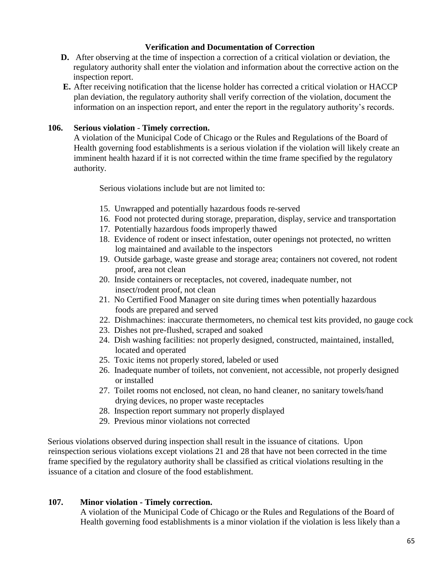# **Verification and Documentation of Correction**

- **D.** After observing at the time of inspection a correction of a critical violation or deviation, the regulatory authority shall enter the violation and information about the corrective action on the inspection report.
- **E.** After receiving notification that the license holder has corrected a critical violation or HACCP plan deviation, the regulatory authority shall verify correction of the violation, document the information on an inspection report, and enter the report in the regulatory authority's records.

# **106. Serious violation** - **Timely correction.**

A violation of the Municipal Code of Chicago or the Rules and Regulations of the Board of Health governing food establishments is a serious violation if the violation will likely create an imminent health hazard if it is not corrected within the time frame specified by the regulatory authority.

Serious violations include but are not limited to:

- 15. Unwrapped and potentially hazardous foods re-served
- 16. Food not protected during storage, preparation, display, service and transportation
- 17. Potentially hazardous foods improperly thawed
- 18. Evidence of rodent or insect infestation, outer openings not protected, no written log maintained and available to the inspectors
- 19. Outside garbage, waste grease and storage area; containers not covered, not rodent proof, area not clean
- 20. Inside containers or receptacles, not covered, inadequate number, not insect/rodent proof, not clean
- 21. No Certified Food Manager on site during times when potentially hazardous foods are prepared and served
- 22. Dishmachines: inaccurate thermometers, no chemical test kits provided, no gauge cock
- 23. Dishes not pre-flushed, scraped and soaked
- 24. Dish washing facilities: not properly designed, constructed, maintained, installed, located and operated
- 25. Toxic items not properly stored, labeled or used
- 26. Inadequate number of toilets, not convenient, not accessible, not properly designed or installed
- 27. Toilet rooms not enclosed, not clean, no hand cleaner, no sanitary towels/hand drying devices, no proper waste receptacles
- 28. Inspection report summary not properly displayed
- 29. Previous minor violations not corrected

Serious violations observed during inspection shall result in the issuance of citations. Upon reinspection serious violations except violations 21 and 28 that have not been corrected in the time frame specified by the regulatory authority shall be classified as critical violations resulting in the issuance of a citation and closure of the food establishment.

#### **107. Minor violation - Timely correction.**

A violation of the Municipal Code of Chicago or the Rules and Regulations of the Board of Health governing food establishments is a minor violation if the violation is less likely than a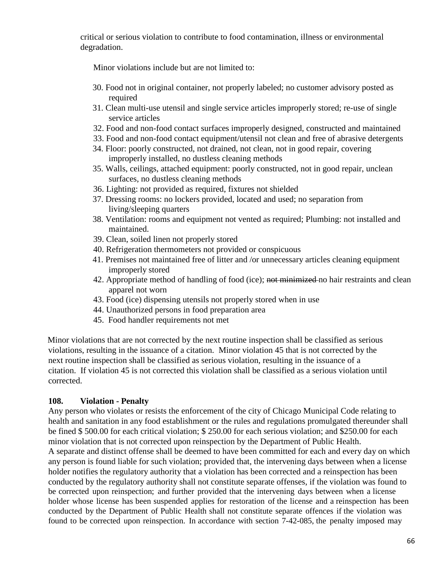critical or serious violation to contribute to food contamination, illness or environmental degradation.

Minor violations include but are not limited to:

- 30. Food not in original container, not properly labeled; no customer advisory posted as required
- 31. Clean multi-use utensil and single service articles improperly stored; re-use of single service articles
- 32. Food and non-food contact surfaces improperly designed, constructed and maintained
- 33. Food and non-food contact equipment/utensil not clean and free of abrasive detergents
- 34. Floor: poorly constructed, not drained, not clean, not in good repair, covering improperly installed, no dustless cleaning methods
- 35. Walls, ceilings, attached equipment: poorly constructed, not in good repair, unclean surfaces, no dustless cleaning methods
- 36. Lighting: not provided as required, fixtures not shielded
- 37. Dressing rooms: no lockers provided, located and used; no separation from living/sleeping quarters
- 38. Ventilation: rooms and equipment not vented as required; Plumbing: not installed and maintained.
- 39. Clean, soiled linen not properly stored
- 40. Refrigeration thermometers not provided or conspicuous
- 41. Premises not maintained free of litter and /or unnecessary articles cleaning equipment improperly stored
- 42. Appropriate method of handling of food (ice); not minimized no hair restraints and clean apparel not worn
- 43. Food (ice) dispensing utensils not properly stored when in use
- 44. Unauthorized persons in food preparation area
- 45. Food handler requirements not met

Minor violations that are not corrected by the next routine inspection shall be classified as serious violations, resulting in the issuance of a citation. Minor violation 45 that is not corrected by the next routine inspection shall be classified as serious violation, resulting in the issuance of a citation. If violation 45 is not corrected this violation shall be classified as a serious violation until corrected.

#### **108. Violation - Penalty**

Any person who violates or resists the enforcement of the city of Chicago Municipal Code relating to health and sanitation in any food establishment or the rules and regulations promulgated thereunder shall be fined \$ 500.00 for each critical violation; \$ 250.00 for each serious violation; and \$250.00 for each minor violation that is not corrected upon reinspection by the Department of Public Health. A separate and distinct offense shall be deemed to have been committed for each and every day on which any person is found liable for such violation; provided that, the intervening days between when a license holder notifies the regulatory authority that a violation has been corrected and a reinspection has been conducted by the regulatory authority shall not constitute separate offenses, if the violation was found to be corrected upon reinspection; and further provided that the intervening days between when a license holder whose license has been suspended applies for restoration of the license and a reinspection has been conducted by the Department of Public Health shall not constitute separate offences if the violation was found to be corrected upon reinspection. In accordance with section 7-42-085, the penalty imposed may